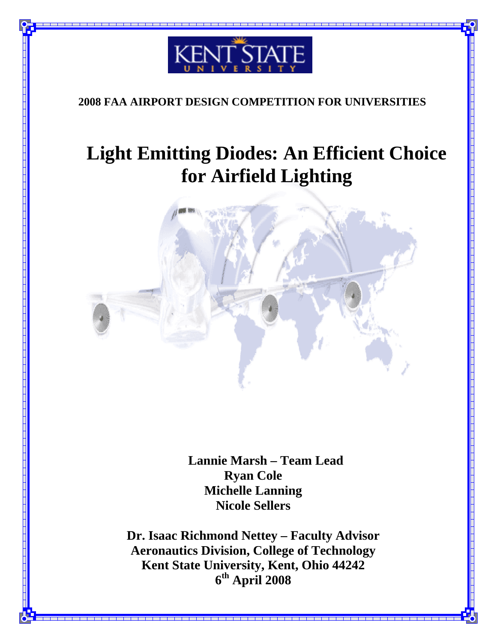

### **2008 FAA AIRPORT DESIGN COMPETITION FOR UNIVERSITIES**

# **Light Emitting Diodes: An Efficient Choice for Airfield Lighting**



 **Lannie Marsh – Team Lead Ryan Cole Michelle Lanning Nicole Sellers** 

**Dr. Isaac Richmond Nettey – Faculty Advisor Aeronautics Division, College of Technology Kent State University, Kent, Ohio 44242 6th April 2008**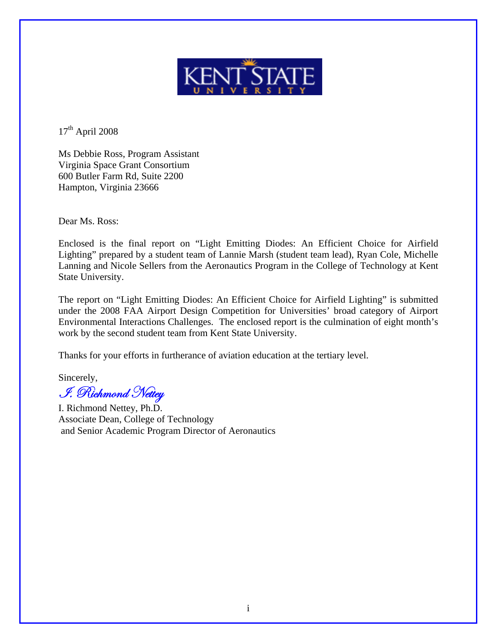

 $17<sup>th</sup>$  April 2008

Ms Debbie Ross, Program Assistant Virginia Space Grant Consortium 600 Butler Farm Rd, Suite 2200 Hampton, Virginia 23666

Dear Ms. Ross:

Enclosed is the final report on "Light Emitting Diodes: An Efficient Choice for Airfield Lighting" prepared by a student team of Lannie Marsh (student team lead), Ryan Cole, Michelle Lanning and Nicole Sellers from the Aeronautics Program in the College of Technology at Kent State University.

The report on "Light Emitting Diodes: An Efficient Choice for Airfield Lighting" is submitted under the 2008 FAA Airport Design Competition for Universities' broad category of Airport Environmental Interactions Challenges. The enclosed report is the culmination of eight month's work by the second student team from Kent State University.

Thanks for your efforts in furtherance of aviation education at the tertiary level.

Sincerely,  $\mathscr{I}$ . Richmond Netter

I. Richmond Nettey, Ph.D. Associate Dean, College of Technology and Senior Academic Program Director of Aeronautics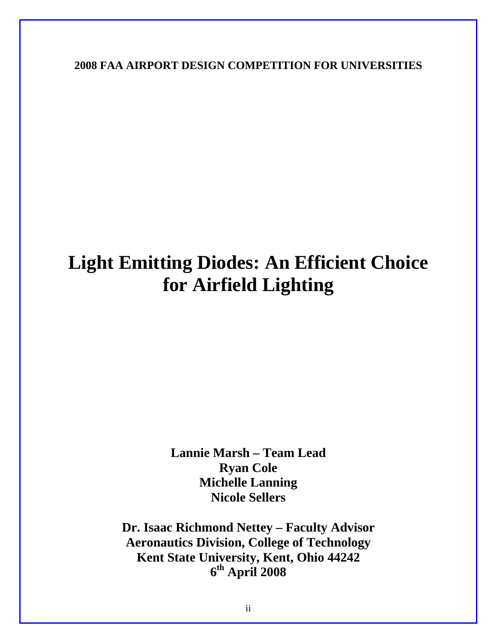**2008 FAA AIRPORT DESIGN COMPETITION FOR UNIVERSITIES** 

# **Light Emitting Diodes: An Efficient Choice for Airfield Lighting**

**Lannie Marsh – Team Lead Ryan Cole Michelle Lanning Nicole Sellers** 

**Dr. Isaac Richmond Nettey – Faculty Advisor Aeronautics Division, College of Technology Kent State University, Kent, Ohio 44242 6th April 2008**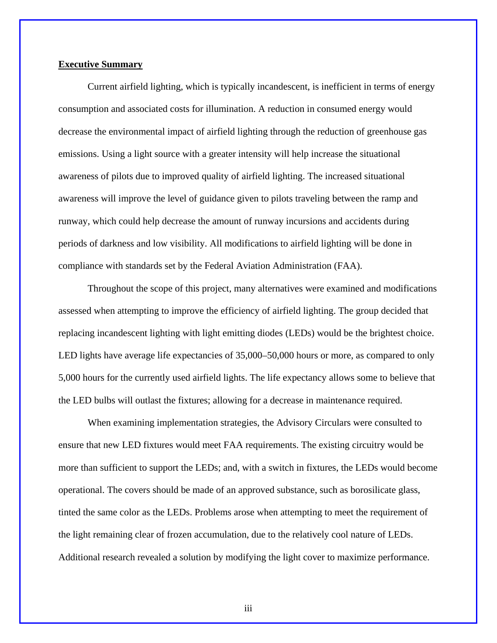#### **Executive Summary**

Current airfield lighting, which is typically incandescent, is inefficient in terms of energy consumption and associated costs for illumination. A reduction in consumed energy would decrease the environmental impact of airfield lighting through the reduction of greenhouse gas emissions. Using a light source with a greater intensity will help increase the situational awareness of pilots due to improved quality of airfield lighting. The increased situational awareness will improve the level of guidance given to pilots traveling between the ramp and runway, which could help decrease the amount of runway incursions and accidents during periods of darkness and low visibility. All modifications to airfield lighting will be done in compliance with standards set by the Federal Aviation Administration (FAA).

Throughout the scope of this project, many alternatives were examined and modifications assessed when attempting to improve the efficiency of airfield lighting. The group decided that replacing incandescent lighting with light emitting diodes (LEDs) would be the brightest choice. LED lights have average life expectancies of 35,000–50,000 hours or more, as compared to only 5,000 hours for the currently used airfield lights. The life expectancy allows some to believe that the LED bulbs will outlast the fixtures; allowing for a decrease in maintenance required.

When examining implementation strategies, the Advisory Circulars were consulted to ensure that new LED fixtures would meet FAA requirements. The existing circuitry would be more than sufficient to support the LEDs; and, with a switch in fixtures, the LEDs would become operational. The covers should be made of an approved substance, such as borosilicate glass, tinted the same color as the LEDs. Problems arose when attempting to meet the requirement of the light remaining clear of frozen accumulation, due to the relatively cool nature of LEDs. Additional research revealed a solution by modifying the light cover to maximize performance.

iii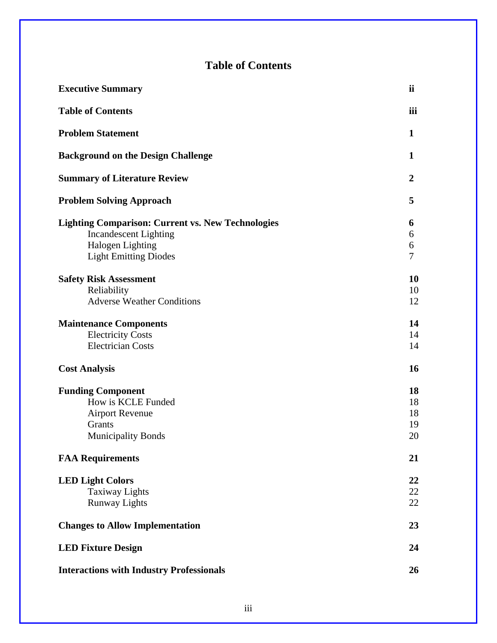### **Table of Contents**

| <b>Executive Summary</b>                                                                                                                            | ii                         |
|-----------------------------------------------------------------------------------------------------------------------------------------------------|----------------------------|
| <b>Table of Contents</b>                                                                                                                            | iii                        |
| <b>Problem Statement</b>                                                                                                                            | $\mathbf{1}$               |
| <b>Background on the Design Challenge</b>                                                                                                           | $\mathbf{1}$               |
| <b>Summary of Literature Review</b>                                                                                                                 | $\overline{2}$             |
| <b>Problem Solving Approach</b>                                                                                                                     | 5                          |
| <b>Lighting Comparison: Current vs. New Technologies</b><br><b>Incandescent Lighting</b><br><b>Halogen Lighting</b><br><b>Light Emitting Diodes</b> | 6<br>6<br>6<br>7           |
| <b>Safety Risk Assessment</b><br>Reliability<br><b>Adverse Weather Conditions</b>                                                                   | 10<br>10<br>12             |
| <b>Maintenance Components</b><br><b>Electricity Costs</b><br><b>Electrician Costs</b>                                                               | 14<br>14<br>14             |
| <b>Cost Analysis</b>                                                                                                                                | 16                         |
| <b>Funding Component</b><br>How is KCLE Funded<br><b>Airport Revenue</b><br>Grants<br><b>Municipality Bonds</b>                                     | 18<br>18<br>18<br>19<br>20 |
| <b>FAA Requirements</b>                                                                                                                             | 21                         |
| <b>LED Light Colors</b><br><b>Taxiway Lights</b><br><b>Runway Lights</b>                                                                            | 22<br>22<br>22<br>23       |
| <b>Changes to Allow Implementation</b><br><b>LED Fixture Design</b>                                                                                 | 24                         |
| <b>Interactions with Industry Professionals</b>                                                                                                     | 26                         |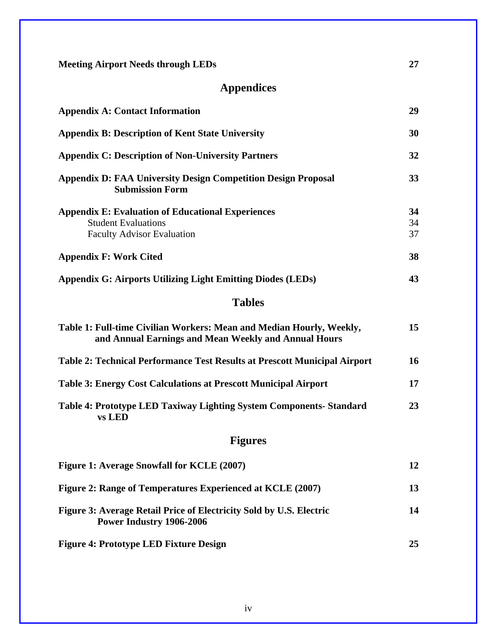| <b>Meeting Airport Needs through LEDs</b>                                                                                    | 27       |  |  |  |  |  |  |
|------------------------------------------------------------------------------------------------------------------------------|----------|--|--|--|--|--|--|
| <b>Appendices</b>                                                                                                            |          |  |  |  |  |  |  |
| <b>Appendix A: Contact Information</b>                                                                                       | 29       |  |  |  |  |  |  |
| <b>Appendix B: Description of Kent State University</b>                                                                      | 30       |  |  |  |  |  |  |
| <b>Appendix C: Description of Non-University Partners</b>                                                                    | 32       |  |  |  |  |  |  |
| <b>Appendix D: FAA University Design Competition Design Proposal</b><br><b>Submission Form</b>                               | 33       |  |  |  |  |  |  |
| <b>Appendix E: Evaluation of Educational Experiences</b><br><b>Student Evaluations</b>                                       | 34<br>34 |  |  |  |  |  |  |
| <b>Faculty Advisor Evaluation</b>                                                                                            | 37       |  |  |  |  |  |  |
| <b>Appendix F: Work Cited</b>                                                                                                | 38       |  |  |  |  |  |  |
| <b>Appendix G: Airports Utilizing Light Emitting Diodes (LEDs)</b>                                                           | 43       |  |  |  |  |  |  |
| <b>Tables</b>                                                                                                                |          |  |  |  |  |  |  |
| Table 1: Full-time Civilian Workers: Mean and Median Hourly, Weekly,<br>and Annual Earnings and Mean Weekly and Annual Hours | 15       |  |  |  |  |  |  |
| Table 2: Technical Performance Test Results at Prescott Municipal Airport                                                    | 16       |  |  |  |  |  |  |
| <b>Table 3: Energy Cost Calculations at Prescott Municipal Airport</b>                                                       | 17       |  |  |  |  |  |  |
| Table 4: Prototype LED Taxiway Lighting System Components- Standard<br>vs LED                                                | 23       |  |  |  |  |  |  |
| <b>Figures</b>                                                                                                               |          |  |  |  |  |  |  |
| Figure 1: Average Snowfall for KCLE (2007)                                                                                   | 12       |  |  |  |  |  |  |
| Figure 2: Range of Temperatures Experienced at KCLE (2007)                                                                   | 13       |  |  |  |  |  |  |
| Figure 3: Average Retail Price of Electricity Sold by U.S. Electric<br>Power Industry 1906-2006                              | 14       |  |  |  |  |  |  |
| <b>Figure 4: Prototype LED Fixture Design</b>                                                                                | 25       |  |  |  |  |  |  |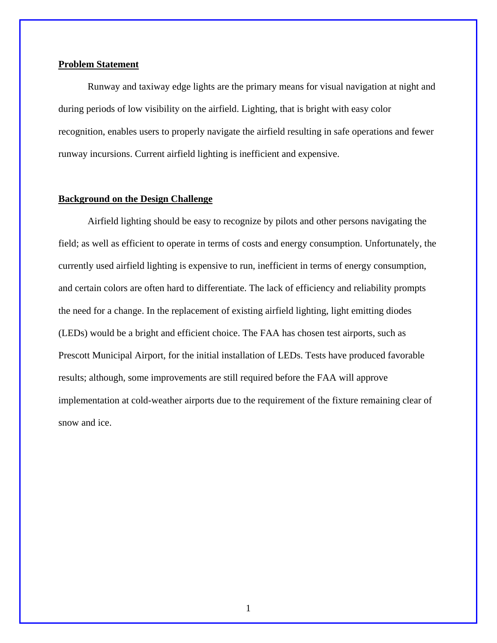#### **Problem Statement**

Runway and taxiway edge lights are the primary means for visual navigation at night and during periods of low visibility on the airfield. Lighting, that is bright with easy color recognition, enables users to properly navigate the airfield resulting in safe operations and fewer runway incursions. Current airfield lighting is inefficient and expensive.

#### **Background on the Design Challenge**

Airfield lighting should be easy to recognize by pilots and other persons navigating the field; as well as efficient to operate in terms of costs and energy consumption. Unfortunately, the currently used airfield lighting is expensive to run, inefficient in terms of energy consumption, and certain colors are often hard to differentiate. The lack of efficiency and reliability prompts the need for a change. In the replacement of existing airfield lighting, light emitting diodes (LEDs) would be a bright and efficient choice. The FAA has chosen test airports, such as Prescott Municipal Airport, for the initial installation of LEDs. Tests have produced favorable results; although, some improvements are still required before the FAA will approve implementation at cold-weather airports due to the requirement of the fixture remaining clear of snow and ice.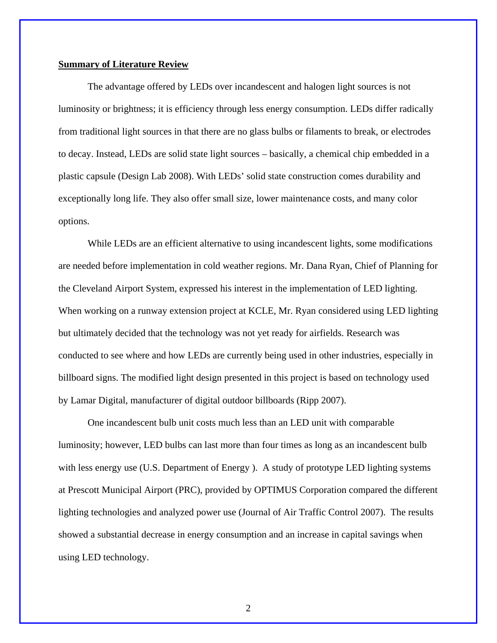#### **Summary of Literature Review**

The advantage offered by LEDs over incandescent and halogen light sources is not luminosity or brightness; it is efficiency through less energy consumption. LEDs differ radically from traditional light sources in that there are no glass bulbs or filaments to break, or electrodes to decay. Instead, LEDs are solid state light sources – basically, a chemical chip embedded in a plastic capsule (Design Lab 2008). With LEDs' solid state construction comes durability and exceptionally long life. They also offer small size, lower maintenance costs, and many color options.

While LEDs are an efficient alternative to using incandescent lights, some modifications are needed before implementation in cold weather regions. Mr. Dana Ryan, Chief of Planning for the Cleveland Airport System, expressed his interest in the implementation of LED lighting. When working on a runway extension project at KCLE, Mr. Ryan considered using LED lighting but ultimately decided that the technology was not yet ready for airfields. Research was conducted to see where and how LEDs are currently being used in other industries, especially in billboard signs. The modified light design presented in this project is based on technology used by Lamar Digital, manufacturer of digital outdoor billboards (Ripp 2007).

 One incandescent bulb unit costs much less than an LED unit with comparable luminosity; however, LED bulbs can last more than four times as long as an incandescent bulb with less energy use (U.S. Department of Energy ). A study of prototype LED lighting systems at Prescott Municipal Airport (PRC), provided by OPTIMUS Corporation compared the different lighting technologies and analyzed power use (Journal of Air Traffic Control 2007). The results showed a substantial decrease in energy consumption and an increase in capital savings when using LED technology.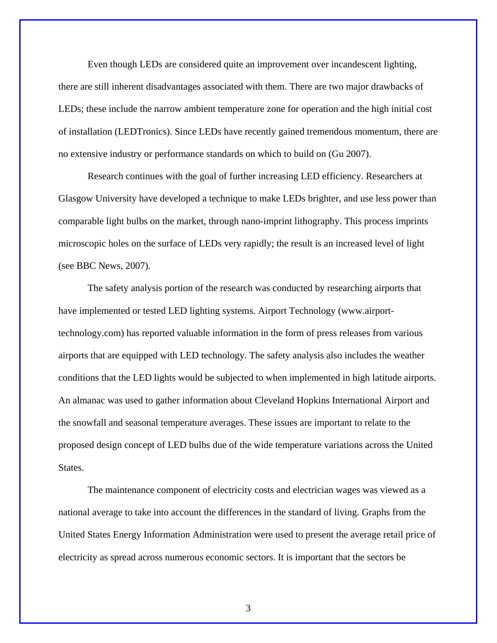Even though LEDs are considered quite an improvement over incandescent lighting, there are still inherent disadvantages associated with them. There are two major drawbacks of LEDs; these include the narrow ambient temperature zone for operation and the high initial cost of installation (LEDTronics). Since LEDs have recently gained tremendous momentum, there are no extensive industry or performance standards on which to build on (Gu 2007).

Research continues with the goal of further increasing LED efficiency. Researchers at Glasgow University have developed a technique to make LEDs brighter, and use less power than comparable light bulbs on the market, through nano-imprint lithography. This process imprints microscopic holes on the surface of LEDs very rapidly; the result is an increased level of light (see BBC News, 2007).

 The safety analysis portion of the research was conducted by researching airports that have implemented or tested LED lighting systems. Airport Technology (www.airporttechnology.com) has reported valuable information in the form of press releases from various airports that are equipped with LED technology. The safety analysis also includes the weather conditions that the LED lights would be subjected to when implemented in high latitude airports. An almanac was used to gather information about Cleveland Hopkins International Airport and the snowfall and seasonal temperature averages. These issues are important to relate to the proposed design concept of LED bulbs due of the wide temperature variations across the United States.

 The maintenance component of electricity costs and electrician wages was viewed as a national average to take into account the differences in the standard of living. Graphs from the United States Energy Information Administration were used to present the average retail price of electricity as spread across numerous economic sectors. It is important that the sectors be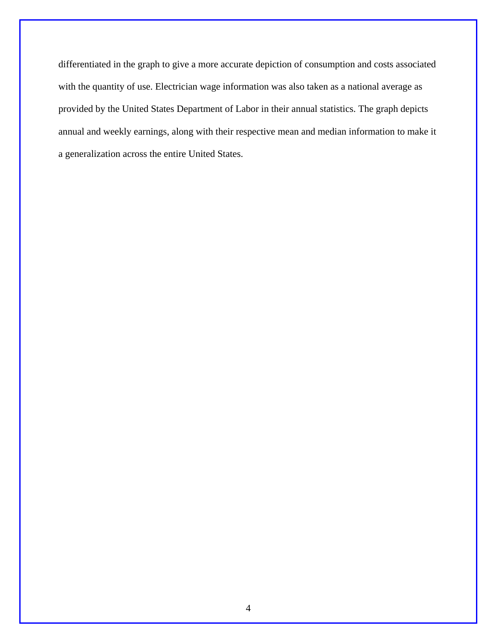differentiated in the graph to give a more accurate depiction of consumption and costs associated with the quantity of use. Electrician wage information was also taken as a national average as provided by the United States Department of Labor in their annual statistics. The graph depicts annual and weekly earnings, along with their respective mean and median information to make it a generalization across the entire United States.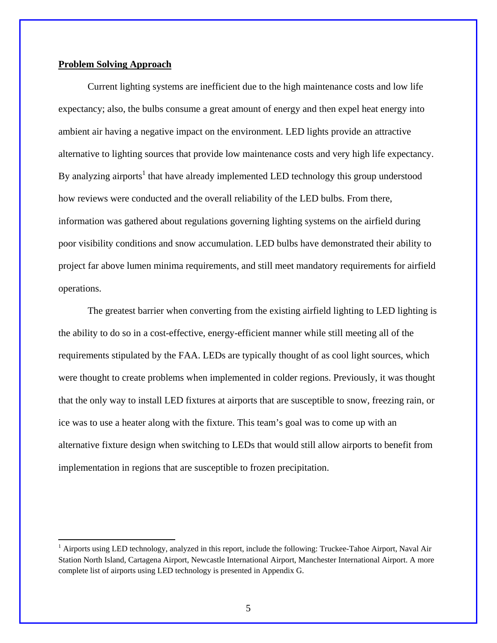#### **Problem Solving Approach**

 $\overline{a}$ 

Current lighting systems are inefficient due to the high maintenance costs and low life expectancy; also, the bulbs consume a great amount of energy and then expel heat energy into ambient air having a negative impact on the environment. LED lights provide an attractive alternative to lighting sources that provide low maintenance costs and very high life expectancy. By analyzing airports<sup>1</sup> that have already implemented LED technology this group understood how reviews were conducted and the overall reliability of the LED bulbs. From there, information was gathered about regulations governing lighting systems on the airfield during poor visibility conditions and snow accumulation. LED bulbs have demonstrated their ability to project far above lumen minima requirements, and still meet mandatory requirements for airfield operations.

The greatest barrier when converting from the existing airfield lighting to LED lighting is the ability to do so in a cost-effective, energy-efficient manner while still meeting all of the requirements stipulated by the FAA. LEDs are typically thought of as cool light sources, which were thought to create problems when implemented in colder regions. Previously, it was thought that the only way to install LED fixtures at airports that are susceptible to snow, freezing rain, or ice was to use a heater along with the fixture. This team's goal was to come up with an alternative fixture design when switching to LEDs that would still allow airports to benefit from implementation in regions that are susceptible to frozen precipitation.

<sup>&</sup>lt;sup>1</sup> Airports using LED technology, analyzed in this report, include the following: Truckee-Tahoe Airport, Naval Air Station North Island, Cartagena Airport, Newcastle International Airport, Manchester International Airport. A more complete list of airports using LED technology is presented in Appendix G.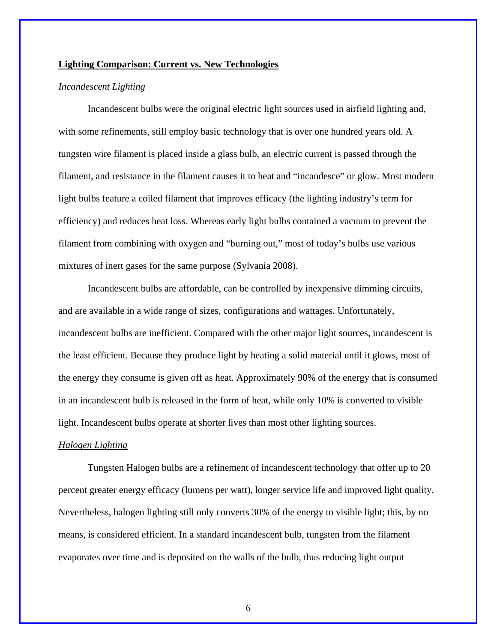#### **Lighting Comparison: Current vs. New Technologies**

#### *Incandescent Lighting*

Incandescent bulbs were the original electric light sources used in airfield lighting and, with some refinements, still employ basic technology that is over one hundred years old. A tungsten wire filament is placed inside a glass bulb, an electric current is passed through the filament, and resistance in the filament causes it to heat and "incandesce" or glow. Most modern light bulbs feature a coiled filament that improves efficacy (the lighting industry's term for efficiency) and reduces heat loss. Whereas early light bulbs contained a vacuum to prevent the filament from combining with oxygen and "burning out," most of today's bulbs use various mixtures of inert gases for the same purpose (Sylvania 2008).

Incandescent bulbs are affordable, can be controlled by inexpensive dimming circuits, and are available in a wide range of sizes, configurations and wattages. Unfortunately, incandescent bulbs are inefficient. Compared with the other major light sources, incandescent is the least efficient. Because they produce light by heating a solid material until it glows, most of the energy they consume is given off as heat. Approximately 90% of the energy that is consumed in an incandescent bulb is released in the form of heat, while only 10% is converted to visible light. Incandescent bulbs operate at shorter lives than most other lighting sources.

#### *Halogen Lighting*

Tungsten Halogen bulbs are a refinement of incandescent technology that offer up to 20 percent greater energy efficacy (lumens per watt), longer service life and improved light quality. Nevertheless, halogen lighting still only converts 30% of the energy to visible light; this, by no means, is considered efficient. In a standard incandescent bulb, tungsten from the filament evaporates over time and is deposited on the walls of the bulb, thus reducing light output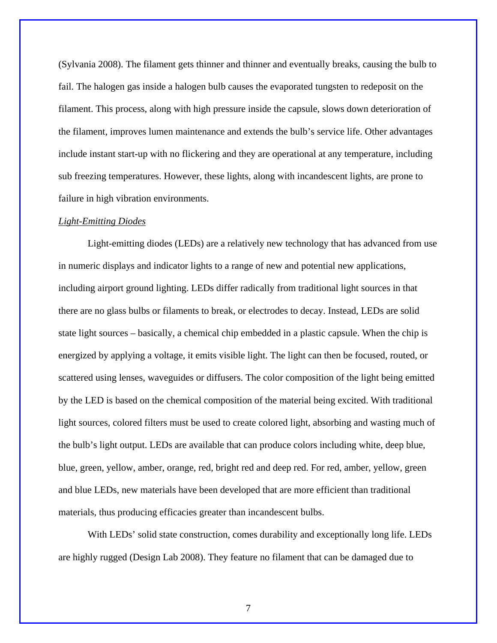(Sylvania 2008). The filament gets thinner and thinner and eventually breaks, causing the bulb to fail. The halogen gas inside a halogen bulb causes the evaporated tungsten to redeposit on the filament. This process, along with high pressure inside the capsule, slows down deterioration of the filament, improves lumen maintenance and extends the bulb's service life. Other advantages include instant start-up with no flickering and they are operational at any temperature, including sub freezing temperatures. However, these lights, along with incandescent lights, are prone to failure in high vibration environments.

#### *Light-Emitting Diodes*

Light-emitting diodes (LEDs) are a relatively new technology that has advanced from use in numeric displays and indicator lights to a range of new and potential new applications, including airport ground lighting. LEDs differ radically from traditional light sources in that there are no glass bulbs or filaments to break, or electrodes to decay. Instead, LEDs are solid state light sources – basically, a chemical chip embedded in a plastic capsule. When the chip is energized by applying a voltage, it emits visible light. The light can then be focused, routed, or scattered using lenses, waveguides or diffusers. The color composition of the light being emitted by the LED is based on the chemical composition of the material being excited. With traditional light sources, colored filters must be used to create colored light, absorbing and wasting much of the bulb's light output. LEDs are available that can produce colors including white, deep blue, blue, green, yellow, amber, orange, red, bright red and deep red. For red, amber, yellow, green and blue LEDs, new materials have been developed that are more efficient than traditional materials, thus producing efficacies greater than incandescent bulbs.

With LEDs' solid state construction, comes durability and exceptionally long life. LEDs are highly rugged (Design Lab 2008). They feature no filament that can be damaged due to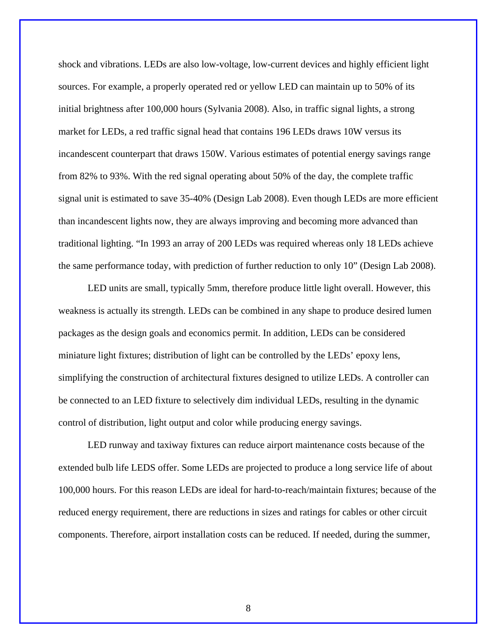shock and vibrations. LEDs are also low-voltage, low-current devices and highly efficient light sources. For example, a properly operated red or yellow LED can maintain up to 50% of its initial brightness after 100,000 hours (Sylvania 2008). Also, in traffic signal lights, a strong market for LEDs, a red traffic signal head that contains 196 LEDs draws 10W versus its incandescent counterpart that draws 150W. Various estimates of potential energy savings range from 82% to 93%. With the red signal operating about 50% of the day, the complete traffic signal unit is estimated to save 35-40% (Design Lab 2008). Even though LEDs are more efficient than incandescent lights now, they are always improving and becoming more advanced than traditional lighting. "In 1993 an array of 200 LEDs was required whereas only 18 LEDs achieve the same performance today, with prediction of further reduction to only 10" (Design Lab 2008).

LED units are small, typically 5mm, therefore produce little light overall. However, this weakness is actually its strength. LEDs can be combined in any shape to produce desired lumen packages as the design goals and economics permit. In addition, LEDs can be considered miniature light fixtures; distribution of light can be controlled by the LEDs' epoxy lens, simplifying the construction of architectural fixtures designed to utilize LEDs. A controller can be connected to an LED fixture to selectively dim individual LEDs, resulting in the dynamic control of distribution, light output and color while producing energy savings.

LED runway and taxiway fixtures can reduce airport maintenance costs because of the extended bulb life LEDS offer. Some LEDs are projected to produce a long service life of about 100,000 hours. For this reason LEDs are ideal for hard-to-reach/maintain fixtures; because of the reduced energy requirement, there are reductions in sizes and ratings for cables or other circuit components. Therefore, airport installation costs can be reduced. If needed, during the summer,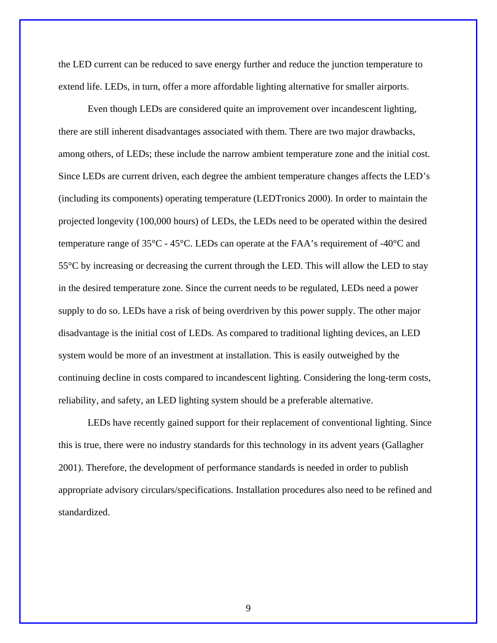the LED current can be reduced to save energy further and reduce the junction temperature to extend life. LEDs, in turn, offer a more affordable lighting alternative for smaller airports.

 Even though LEDs are considered quite an improvement over incandescent lighting, there are still inherent disadvantages associated with them. There are two major drawbacks, among others, of LEDs; these include the narrow ambient temperature zone and the initial cost. Since LEDs are current driven, each degree the ambient temperature changes affects the LED's (including its components) operating temperature (LEDTronics 2000). In order to maintain the projected longevity (100,000 hours) of LEDs, the LEDs need to be operated within the desired temperature range of 35°C - 45°C. LEDs can operate at the FAA's requirement of -40°C and 55°C by increasing or decreasing the current through the LED. This will allow the LED to stay in the desired temperature zone. Since the current needs to be regulated, LEDs need a power supply to do so. LEDs have a risk of being overdriven by this power supply. The other major disadvantage is the initial cost of LEDs. As compared to traditional lighting devices, an LED system would be more of an investment at installation. This is easily outweighed by the continuing decline in costs compared to incandescent lighting. Considering the long-term costs, reliability, and safety, an LED lighting system should be a preferable alternative.

LEDs have recently gained support for their replacement of conventional lighting. Since this is true, there were no industry standards for this technology in its advent years (Gallagher 2001). Therefore, the development of performance standards is needed in order to publish appropriate advisory circulars/specifications. Installation procedures also need to be refined and standardized.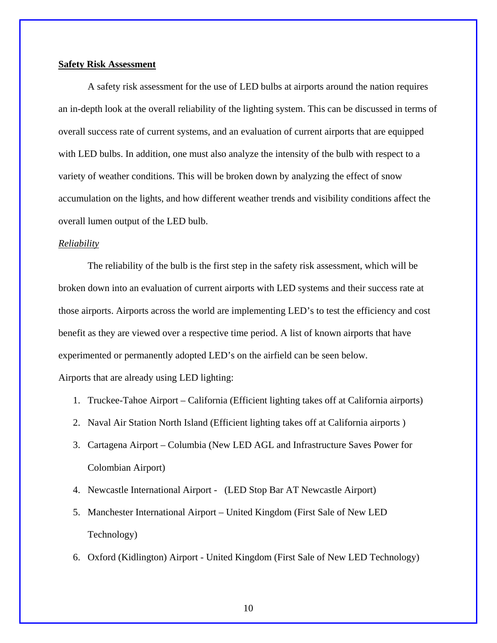#### **Safety Risk Assessment**

 A safety risk assessment for the use of LED bulbs at airports around the nation requires an in-depth look at the overall reliability of the lighting system. This can be discussed in terms of overall success rate of current systems, and an evaluation of current airports that are equipped with LED bulbs. In addition, one must also analyze the intensity of the bulb with respect to a variety of weather conditions. This will be broken down by analyzing the effect of snow accumulation on the lights, and how different weather trends and visibility conditions affect the overall lumen output of the LED bulb.

#### *Reliability*

 The reliability of the bulb is the first step in the safety risk assessment, which will be broken down into an evaluation of current airports with LED systems and their success rate at those airports. Airports across the world are implementing LED's to test the efficiency and cost benefit as they are viewed over a respective time period. A list of known airports that have experimented or permanently adopted LED's on the airfield can be seen below. Airports that are already using LED lighting:

- 1. Truckee-Tahoe Airport California (Efficient lighting takes off at California airports)
- 2. Naval Air Station North Island (Efficient lighting takes off at California airports )
- 3. Cartagena Airport Columbia (New LED AGL and Infrastructure Saves Power for Colombian Airport)
- 4. Newcastle International Airport (LED Stop Bar AT Newcastle Airport)
- 5. Manchester International Airport United Kingdom (First Sale of New LED Technology)
- 6. Oxford (Kidlington) Airport United Kingdom (First Sale of New LED Technology)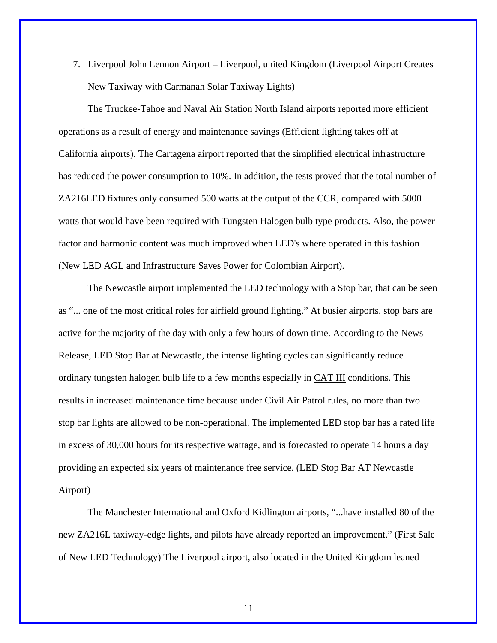7. Liverpool John Lennon Airport – Liverpool, united Kingdom (Liverpool Airport Creates New Taxiway with Carmanah Solar Taxiway Lights)

The Truckee-Tahoe and Naval Air Station North Island airports reported more efficient operations as a result of energy and maintenance savings (Efficient lighting takes off at California airports). The Cartagena airport reported that the simplified electrical infrastructure has reduced the power consumption to 10%. In addition, the tests proved that the total number of ZA216LED fixtures only consumed 500 watts at the output of the CCR, compared with 5000 watts that would have been required with Tungsten Halogen bulb type products. Also, the power factor and harmonic content was much improved when LED's where operated in this fashion (New LED AGL and Infrastructure Saves Power for Colombian Airport).

The Newcastle airport implemented the LED technology with a Stop bar, that can be seen as "... one of the most critical roles for airfield ground lighting." At busier airports, stop bars are active for the majority of the day with only a few hours of down time. According to the News Release, LED Stop Bar at Newcastle, the intense lighting cycles can significantly reduce ordinary tungsten halogen bulb life to a few months especially in CAT III conditions. This results in increased maintenance time because under Civil Air Patrol rules, no more than two stop bar lights are allowed to be non-operational. The implemented LED stop bar has a rated life in excess of 30,000 hours for its respective wattage, and is forecasted to operate 14 hours a day providing an expected six years of maintenance free service. (LED Stop Bar AT Newcastle Airport)

The Manchester International and Oxford Kidlington airports, "...have installed 80 of the new ZA216L taxiway-edge lights, and pilots have already reported an improvement." (First Sale of New LED Technology) The Liverpool airport, also located in the United Kingdom leaned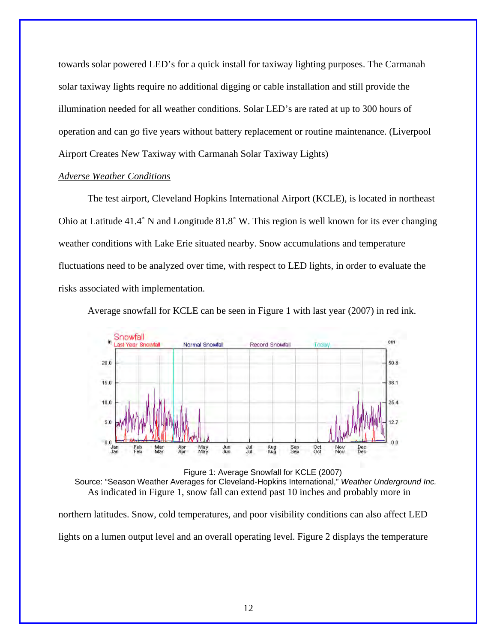towards solar powered LED's for a quick install for taxiway lighting purposes. The Carmanah solar taxiway lights require no additional digging or cable installation and still provide the illumination needed for all weather conditions. Solar LED's are rated at up to 300 hours of operation and can go five years without battery replacement or routine maintenance. (Liverpool Airport Creates New Taxiway with Carmanah Solar Taxiway Lights)

#### *Adverse Weather Conditions*

The test airport, Cleveland Hopkins International Airport (KCLE), is located in northeast Ohio at Latitude 41.4˚ N and Longitude 81.8˚ W. This region is well known for its ever changing weather conditions with Lake Erie situated nearby. Snow accumulations and temperature fluctuations need to be analyzed over time, with respect to LED lights, in order to evaluate the risks associated with implementation.

Average snowfall for KCLE can be seen in Figure 1 with last year (2007) in red ink.





northern latitudes. Snow, cold temperatures, and poor visibility conditions can also affect LED lights on a lumen output level and an overall operating level. Figure 2 displays the temperature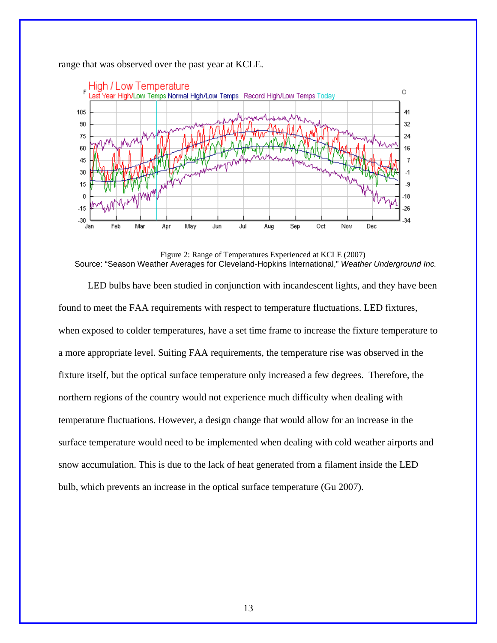

range that was observed over the past year at KCLE.

Figure 2: Range of Temperatures Experienced at KCLE (2007) Source: "Season Weather Averages for Cleveland-Hopkins International," *Weather Underground Inc.*

LED bulbs have been studied in conjunction with incandescent lights, and they have been found to meet the FAA requirements with respect to temperature fluctuations. LED fixtures, when exposed to colder temperatures, have a set time frame to increase the fixture temperature to a more appropriate level. Suiting FAA requirements, the temperature rise was observed in the fixture itself, but the optical surface temperature only increased a few degrees. Therefore, the northern regions of the country would not experience much difficulty when dealing with temperature fluctuations. However, a design change that would allow for an increase in the surface temperature would need to be implemented when dealing with cold weather airports and snow accumulation. This is due to the lack of heat generated from a filament inside the LED bulb, which prevents an increase in the optical surface temperature (Gu 2007).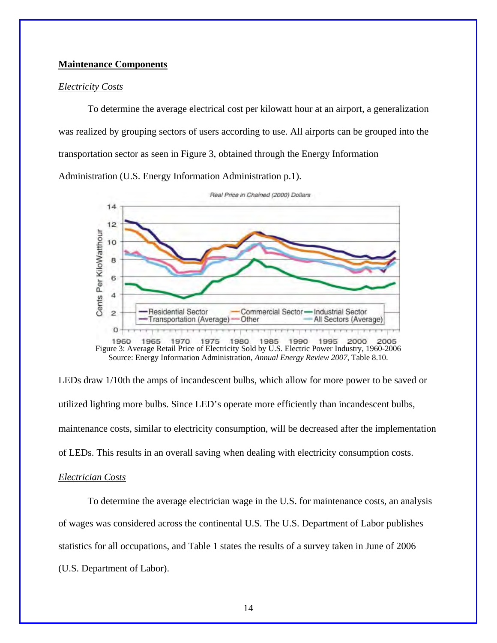#### **Maintenance Components**

#### *Electricity Costs*

 To determine the average electrical cost per kilowatt hour at an airport, a generalization was realized by grouping sectors of users according to use. All airports can be grouped into the transportation sector as seen in Figure 3, obtained through the Energy Information Administration (U.S. Energy Information Administration p.1).



Source: Energy Information Administration, *Annual Energy Review 2007*, Table 8.10.

LEDs draw 1/10th the amps of incandescent bulbs, which allow for more power to be saved or utilized lighting more bulbs. Since LED's operate more efficiently than incandescent bulbs, maintenance costs, similar to electricity consumption, will be decreased after the implementation of LEDs. This results in an overall saving when dealing with electricity consumption costs.

#### *Electrician Costs*

 To determine the average electrician wage in the U.S. for maintenance costs, an analysis of wages was considered across the continental U.S. The U.S. Department of Labor publishes statistics for all occupations, and Table 1 states the results of a survey taken in June of 2006 (U.S. Department of Labor).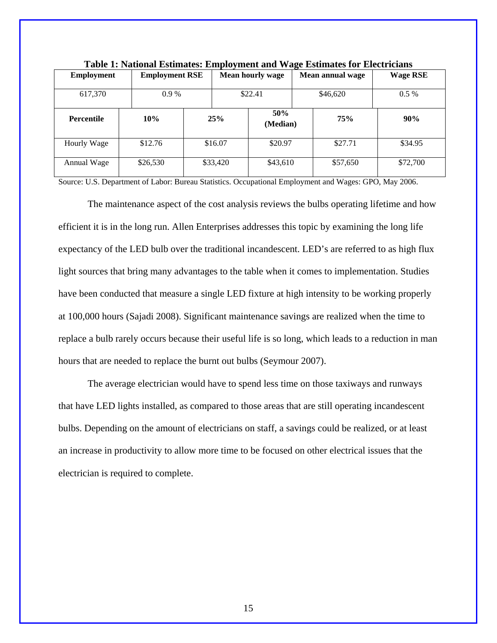| <b>Employment</b> | <b>Employment RSE</b> |          |     | <b>Mean hourly wage</b> |  | Mean annual wage     | <b>Wage RSE</b> |  |          |
|-------------------|-----------------------|----------|-----|-------------------------|--|----------------------|-----------------|--|----------|
| 617,370           | $0.9\%$<br>\$22.41    |          |     | \$46,620                |  | $0.5\%$              |                 |  |          |
| <b>Percentile</b> | 10%                   |          | 25% | 50%<br>(Median)         |  | 75%                  | 90%             |  |          |
| Hourly Wage       | \$12.76               | \$16.07  |     | \$20.97                 |  | \$27.71              | \$34.95         |  |          |
| Annual Wage       | \$26,530              | \$33,420 |     |                         |  | \$57,650<br>\$43,610 |                 |  | \$72,700 |

**Table 1: National Estimates: Employment and Wage Estimates for Electricians** 

Source: U.S. Department of Labor: Bureau Statistics. Occupational Employment and Wages: GPO, May 2006.

The maintenance aspect of the cost analysis reviews the bulbs operating lifetime and how efficient it is in the long run. Allen Enterprises addresses this topic by examining the long life expectancy of the LED bulb over the traditional incandescent. LED's are referred to as high flux light sources that bring many advantages to the table when it comes to implementation. Studies have been conducted that measure a single LED fixture at high intensity to be working properly at 100,000 hours (Sajadi 2008). Significant maintenance savings are realized when the time to replace a bulb rarely occurs because their useful life is so long, which leads to a reduction in man hours that are needed to replace the burnt out bulbs (Seymour 2007).

 The average electrician would have to spend less time on those taxiways and runways that have LED lights installed, as compared to those areas that are still operating incandescent bulbs. Depending on the amount of electricians on staff, a savings could be realized, or at least an increase in productivity to allow more time to be focused on other electrical issues that the electrician is required to complete.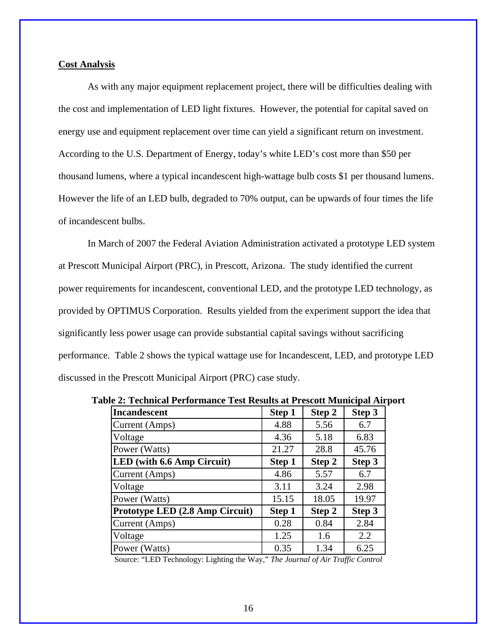#### **Cost Analysis**

 As with any major equipment replacement project, there will be difficulties dealing with the cost and implementation of LED light fixtures. However, the potential for capital saved on energy use and equipment replacement over time can yield a significant return on investment. According to the U.S. Department of Energy, today's white LED's cost more than \$50 per thousand lumens, where a typical incandescent high-wattage bulb costs \$1 per thousand lumens. However the life of an LED bulb, degraded to 70% output, can be upwards of four times the life of incandescent bulbs.

 In March of 2007 the Federal Aviation Administration activated a prototype LED system at Prescott Municipal Airport (PRC), in Prescott, Arizona. The study identified the current power requirements for incandescent, conventional LED, and the prototype LED technology, as provided by OPTIMUS Corporation. Results yielded from the experiment support the idea that significantly less power usage can provide substantial capital savings without sacrificing performance. Table 2 shows the typical wattage use for Incandescent, LED, and prototype LED discussed in the Prescott Municipal Airport (PRC) case study.

| <b>Incandescent</b>             | Step 1 | Step 2 | Step 3 |
|---------------------------------|--------|--------|--------|
| Current (Amps)                  | 4.88   | 5.56   | 6.7    |
| Voltage                         | 4.36   | 5.18   | 6.83   |
| Power (Watts)                   | 21.27  | 28.8   | 45.76  |
| LED (with 6.6 Amp Circuit)      | Step 1 | Step 2 | Step 3 |
| Current (Amps)                  | 4.86   | 5.57   | 6.7    |
| Voltage                         | 3.11   | 3.24   | 2.98   |
| Power (Watts)                   | 15.15  | 18.05  | 19.97  |
| Prototype LED (2.8 Amp Circuit) | Step 1 | Step 2 | Step 3 |
| Current (Amps)                  | 0.28   | 0.84   | 2.84   |
| Voltage                         | 1.25   | 1.6    | 2.2    |
| Power (Watts)                   | 0.35   | 1.34   | 6.25   |

**Table 2: Technical Performance Test Results at Prescott Municipal Airport** 

Source: "LED Technology: Lighting the Way," *The Journal of Air Traffic Control*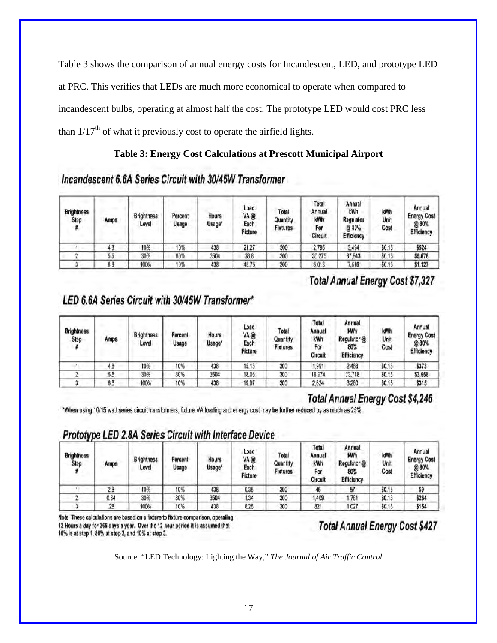Table 3 shows the comparison of annual energy costs for Incandescent, LED, and prototype LED at PRC. This verifies that LEDs are much more economical to operate when compared to incandescent bulbs, operating at almost half the cost. The prototype LED would cost PRC less than  $1/17<sup>th</sup>$  of what it previously cost to operate the airfield lights.

### **Table 3: Energy Cost Calculations at Prescott Municipal Airport**

### Incandescent 6.6A Series Circuit with 30/45W Transformer

| <b>Brightness</b><br>Step | Amps | <b>Brightness</b><br>Level | Percent<br>Usage | Hours<br>Usage <sup>®</sup> | Load<br>VA@<br>Each<br>Fixture | Total<br>Quantity<br><b>Fixtures</b> | Total<br>Annual<br>kWh<br>For<br>Circuit | Annual<br>kWh<br>Regulator<br>@ 80%<br>Efficiency | kWh<br>Unit<br>Cost | Annual<br><b>Energy Cost</b><br>@80%<br>Efficiency |
|---------------------------|------|----------------------------|------------------|-----------------------------|--------------------------------|--------------------------------------|------------------------------------------|---------------------------------------------------|---------------------|----------------------------------------------------|
|                           | 4,8  | 10%                        | 10%              | 438                         | 21.27                          | 300                                  | 2,795                                    | 3,494                                             | \$0.15              | \$524                                              |
|                           | 5.5  | 30%                        | 80%              | 3504                        | 28.8                           | 300                                  | 30.275                                   | 37,843                                            | \$0.15              | \$5,676                                            |
|                           | 6.6  | 100%                       | 10%              | 438                         | 45.76                          | 300                                  | 6.013                                    | 7,516                                             | \$0.15              | \$1,127                                            |

# **Total Annual Energy Cost \$7,327**

# LED 6.6A Series Circuit with 30/45W Transformer\*

| <b>Brightness</b><br>Step | Amps | <b>Brightness</b><br>Level | Percent<br>Usage | <b>Hours</b><br>Usage* | Load<br>VA @<br>Each<br>Fixture | Total<br>Quantity<br><b>Fixtures</b> | Total<br>Annual<br>kWh<br>For<br>Circuit | Annual<br>kWh<br>Regulator @<br>80%<br>Efficiency | kWh<br>Unit<br>Cost | Annual<br><b>Energy Cost</b><br>@80%<br>Efficiency |
|---------------------------|------|----------------------------|------------------|------------------------|---------------------------------|--------------------------------------|------------------------------------------|---------------------------------------------------|---------------------|----------------------------------------------------|
|                           | 4.3  | 10%                        | 10%              | 438                    | 15.15                           | 300                                  | 1,991                                    | 2,488                                             | \$0.15              | \$373                                              |
|                           | 55   | 30%                        | 80%              | 3504                   | 18.05                           | 300                                  | 18,974                                   | 23,718                                            | \$0.15              | \$3,558                                            |
|                           | 6.6  | 100%                       | 10%              | 438                    | 19.97                           | 300                                  | 2,624                                    | 3,280                                             | \$0.15              | \$315                                              |

# **Total Annual Energy Cost \$4,246**

"When using 10/15 watt series circuit transformers, fixture VA loading and energy cost may be further reduced by as much as 25%.

# Prototype LED 2.8A Series Circuit with Interface Device

| <b>Brightness</b><br>Step | Amps | <b>Brightness</b><br>Level | Percent<br>Usage | Hours<br>Usage <sup>®</sup> | Load<br>VA@<br>Each<br>Fixture | Total<br>Quantity<br><b>Fixtures</b> | Total<br>Annual<br>kWh<br>For<br>Circuit | Annual<br>kWh<br>Regulator @<br>80%<br>Efficiency | kWh<br>Unit<br>Cost | Annual<br><b>Energy Cost</b><br>@ 80%<br>Efficiency |
|---------------------------|------|----------------------------|------------------|-----------------------------|--------------------------------|--------------------------------------|------------------------------------------|---------------------------------------------------|---------------------|-----------------------------------------------------|
|                           | 28   | 10%                        | 10%              | 438                         | 0.35                           | 300                                  |                                          | 57                                                | \$0.15              | ۴۵                                                  |
|                           | 0.84 | 30%                        | 80%              | 3504                        | 1.34                           | 300                                  | 1,409                                    | .761                                              | \$0.15              | \$264                                               |
|                           | 28   | 100%                       | 10%              | 438                         | 6.25                           | 300                                  | 821                                      | .027                                              | \$0.15              | \$154                                               |

Note: These calculations are based on a fixture to fixture comparison, operating 12 Hours a day for 365 days a year. Over the 12 hour period it is assumed that 10% is at step 1, 80% at step 2, and 10% at step 3.

**Total Annual Energy Cost \$427** 

Source: "LED Technology: Lighting the Way," *The Journal of Air Traffic Control*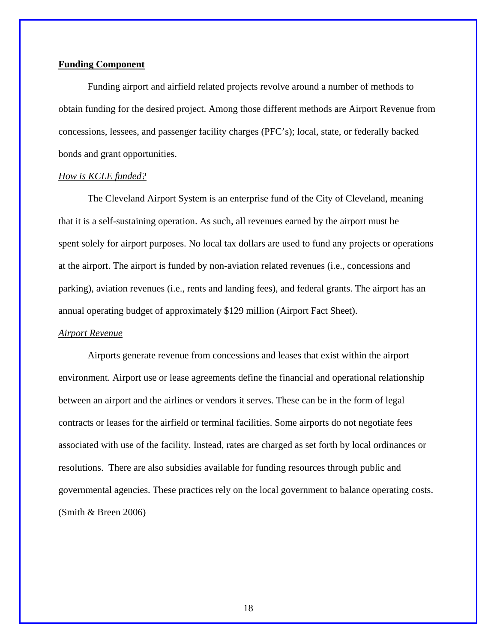#### **Funding Component**

 Funding airport and airfield related projects revolve around a number of methods to obtain funding for the desired project. Among those different methods are Airport Revenue from concessions, lessees, and passenger facility charges (PFC's); local, state, or federally backed bonds and grant opportunities.

#### *How is KCLE funded?*

The Cleveland Airport System is an enterprise fund of the City of Cleveland, meaning that it is a self-sustaining operation. As such, all revenues earned by the airport must be spent solely for airport purposes. No local tax dollars are used to fund any projects or operations at the airport. The airport is funded by non-aviation related revenues (i.e., concessions and parking), aviation revenues (i.e., rents and landing fees), and federal grants. The airport has an annual operating budget of approximately \$129 million (Airport Fact Sheet).

#### *Airport Revenue*

Airports generate revenue from concessions and leases that exist within the airport environment. Airport use or lease agreements define the financial and operational relationship between an airport and the airlines or vendors it serves. These can be in the form of legal contracts or leases for the airfield or terminal facilities. Some airports do not negotiate fees associated with use of the facility. Instead, rates are charged as set forth by local ordinances or resolutions. There are also subsidies available for funding resources through public and governmental agencies. These practices rely on the local government to balance operating costs. (Smith & Breen 2006)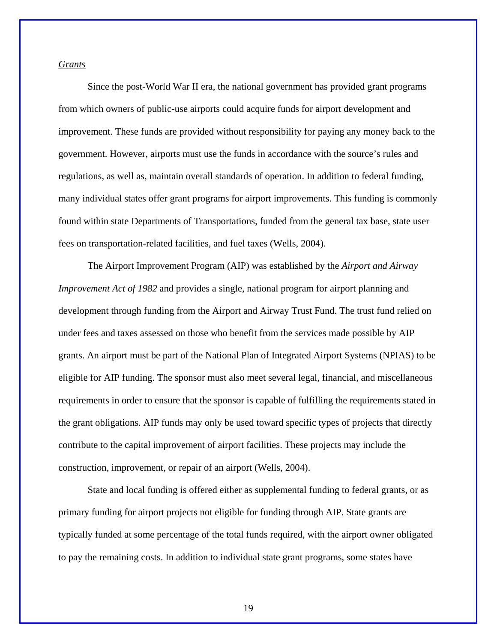#### *Grants*

Since the post-World War II era, the national government has provided grant programs from which owners of public-use airports could acquire funds for airport development and improvement. These funds are provided without responsibility for paying any money back to the government. However, airports must use the funds in accordance with the source's rules and regulations, as well as, maintain overall standards of operation. In addition to federal funding, many individual states offer grant programs for airport improvements. This funding is commonly found within state Departments of Transportations, funded from the general tax base, state user fees on transportation-related facilities, and fuel taxes (Wells, 2004).

The Airport Improvement Program (AIP) was established by the *Airport and Airway Improvement Act of 1982* and provides a single, national program for airport planning and development through funding from the Airport and Airway Trust Fund. The trust fund relied on under fees and taxes assessed on those who benefit from the services made possible by AIP grants. An airport must be part of the National Plan of Integrated Airport Systems (NPIAS) to be eligible for AIP funding. The sponsor must also meet several legal, financial, and miscellaneous requirements in order to ensure that the sponsor is capable of fulfilling the requirements stated in the grant obligations. AIP funds may only be used toward specific types of projects that directly contribute to the capital improvement of airport facilities. These projects may include the construction, improvement, or repair of an airport (Wells, 2004).

State and local funding is offered either as supplemental funding to federal grants, or as primary funding for airport projects not eligible for funding through AIP. State grants are typically funded at some percentage of the total funds required, with the airport owner obligated to pay the remaining costs. In addition to individual state grant programs, some states have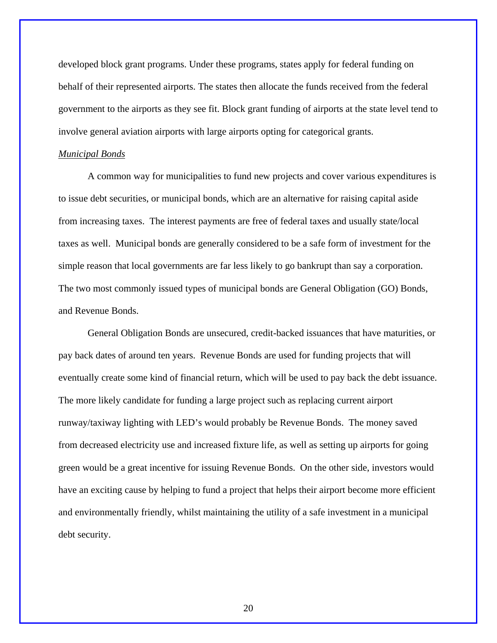developed block grant programs. Under these programs, states apply for federal funding on behalf of their represented airports. The states then allocate the funds received from the federal government to the airports as they see fit. Block grant funding of airports at the state level tend to involve general aviation airports with large airports opting for categorical grants.

#### *Municipal Bonds*

 A common way for municipalities to fund new projects and cover various expenditures is to issue debt securities, or municipal bonds, which are an alternative for raising capital aside from increasing taxes. The interest payments are free of federal taxes and usually state/local taxes as well. Municipal bonds are generally considered to be a safe form of investment for the simple reason that local governments are far less likely to go bankrupt than say a corporation. The two most commonly issued types of municipal bonds are General Obligation (GO) Bonds, and Revenue Bonds.

General Obligation Bonds are unsecured, credit-backed issuances that have maturities, or pay back dates of around ten years. Revenue Bonds are used for funding projects that will eventually create some kind of financial return, which will be used to pay back the debt issuance. The more likely candidate for funding a large project such as replacing current airport runway/taxiway lighting with LED's would probably be Revenue Bonds. The money saved from decreased electricity use and increased fixture life, as well as setting up airports for going green would be a great incentive for issuing Revenue Bonds. On the other side, investors would have an exciting cause by helping to fund a project that helps their airport become more efficient and environmentally friendly, whilst maintaining the utility of a safe investment in a municipal debt security.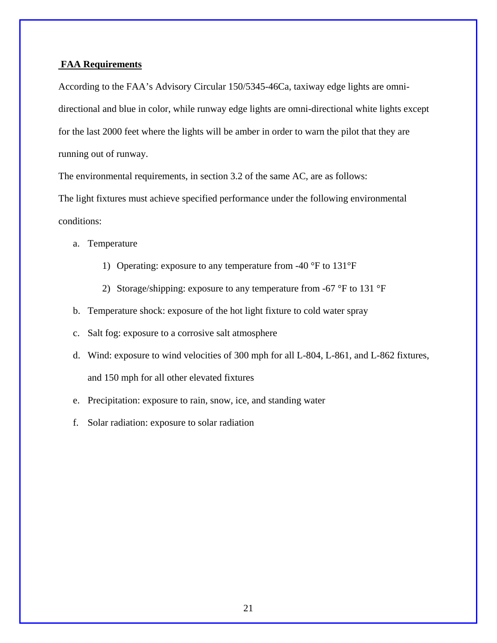#### **FAA Requirements**

According to the FAA's Advisory Circular 150/5345-46Ca, taxiway edge lights are omnidirectional and blue in color, while runway edge lights are omni-directional white lights except for the last 2000 feet where the lights will be amber in order to warn the pilot that they are running out of runway.

The environmental requirements, in section 3.2 of the same AC, are as follows:

The light fixtures must achieve specified performance under the following environmental conditions:

a. Temperature

- 1) Operating: exposure to any temperature from -40 °F to 131°F
- 2) Storage/shipping: exposure to any temperature from -67  $\mathrm{P}F$  to 131  $\mathrm{P}F$
- b. Temperature shock: exposure of the hot light fixture to cold water spray
- c. Salt fog: exposure to a corrosive salt atmosphere
- d. Wind: exposure to wind velocities of 300 mph for all L-804, L-861, and L-862 fixtures, and 150 mph for all other elevated fixtures
- e. Precipitation: exposure to rain, snow, ice, and standing water
- f. Solar radiation: exposure to solar radiation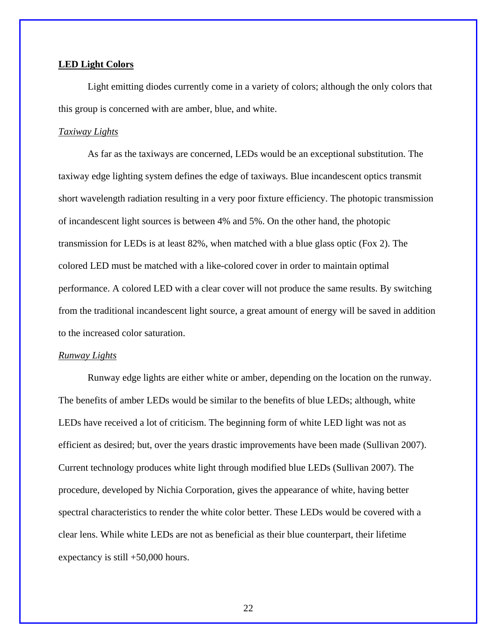#### **LED Light Colors**

Light emitting diodes currently come in a variety of colors; although the only colors that this group is concerned with are amber, blue, and white.

#### *Taxiway Lights*

As far as the taxiways are concerned, LEDs would be an exceptional substitution. The taxiway edge lighting system defines the edge of taxiways. Blue incandescent optics transmit short wavelength radiation resulting in a very poor fixture efficiency. The photopic transmission of incandescent light sources is between 4% and 5%. On the other hand, the photopic transmission for LEDs is at least 82%, when matched with a blue glass optic (Fox 2). The colored LED must be matched with a like-colored cover in order to maintain optimal performance. A colored LED with a clear cover will not produce the same results. By switching from the traditional incandescent light source, a great amount of energy will be saved in addition to the increased color saturation.

#### *Runway Lights*

Runway edge lights are either white or amber, depending on the location on the runway. The benefits of amber LEDs would be similar to the benefits of blue LEDs; although, white LEDs have received a lot of criticism. The beginning form of white LED light was not as efficient as desired; but, over the years drastic improvements have been made (Sullivan 2007). Current technology produces white light through modified blue LEDs (Sullivan 2007). The procedure, developed by Nichia Corporation, gives the appearance of white, having better spectral characteristics to render the white color better. These LEDs would be covered with a clear lens. While white LEDs are not as beneficial as their blue counterpart, their lifetime expectancy is still +50,000 hours.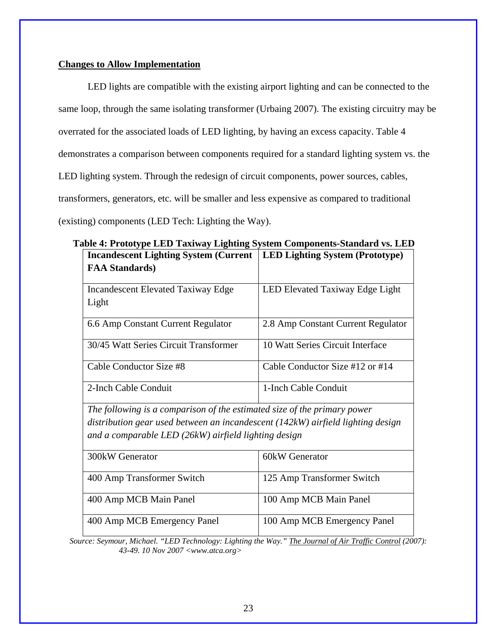### **Changes to Allow Implementation**

LED lights are compatible with the existing airport lighting and can be connected to the same loop, through the same isolating transformer (Urbaing 2007). The existing circuitry may be overrated for the associated loads of LED lighting, by having an excess capacity. Table 4 demonstrates a comparison between components required for a standard lighting system vs. the LED lighting system. Through the redesign of circuit components, power sources, cables, transformers, generators, etc. will be smaller and less expensive as compared to traditional (existing) components (LED Tech: Lighting the Way).

| <b>Incandescent Lighting System (Current</b><br><b>FAA Standards</b> )                                                                                                                                              | <b>LED Lighting System (Prototype)</b> |
|---------------------------------------------------------------------------------------------------------------------------------------------------------------------------------------------------------------------|----------------------------------------|
| <b>Incandescent Elevated Taxiway Edge</b><br>Light                                                                                                                                                                  | LED Elevated Taxiway Edge Light        |
| 6.6 Amp Constant Current Regulator                                                                                                                                                                                  | 2.8 Amp Constant Current Regulator     |
| 30/45 Watt Series Circuit Transformer                                                                                                                                                                               | 10 Watt Series Circuit Interface       |
| Cable Conductor Size #8                                                                                                                                                                                             | Cable Conductor Size $#12$ or $#14$    |
| 2-Inch Cable Conduit                                                                                                                                                                                                | 1-Inch Cable Conduit                   |
| The following is a comparison of the estimated size of the primary power<br>distribution gear used between an incandescent (142kW) airfield lighting design<br>and a comparable LED (26kW) airfield lighting design |                                        |
| $2001 \times W$ Congrator                                                                                                                                                                                           | $GOLW$ Conorator                       |

**Table 4: Prototype LED Taxiway Lighting System Components-Standard vs. LED** 

| 300 kW Generator            | 60kW Generator              |
|-----------------------------|-----------------------------|
| 400 Amp Transformer Switch  | 125 Amp Transformer Switch  |
| 400 Amp MCB Main Panel      | 100 Amp MCB Main Panel      |
| 400 Amp MCB Emergency Panel | 100 Amp MCB Emergency Panel |

*Source: Seymour, Michael. "LED Technology: Lighting the Way." The Journal of Air Traffic Control (2007): 43-49. 10 Nov 2007 <www.atca.org>*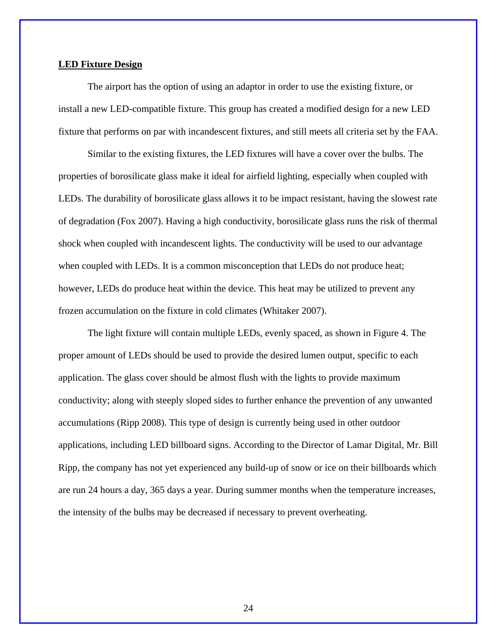#### **LED Fixture Design**

The airport has the option of using an adaptor in order to use the existing fixture, or install a new LED-compatible fixture. This group has created a modified design for a new LED fixture that performs on par with incandescent fixtures, and still meets all criteria set by the FAA.

Similar to the existing fixtures, the LED fixtures will have a cover over the bulbs. The properties of borosilicate glass make it ideal for airfield lighting, especially when coupled with LEDs. The durability of borosilicate glass allows it to be impact resistant, having the slowest rate of degradation (Fox 2007). Having a high conductivity, borosilicate glass runs the risk of thermal shock when coupled with incandescent lights. The conductivity will be used to our advantage when coupled with LEDs. It is a common misconception that LEDs do not produce heat; however, LEDs do produce heat within the device. This heat may be utilized to prevent any frozen accumulation on the fixture in cold climates (Whitaker 2007).

The light fixture will contain multiple LEDs, evenly spaced, as shown in Figure 4. The proper amount of LEDs should be used to provide the desired lumen output, specific to each application. The glass cover should be almost flush with the lights to provide maximum conductivity; along with steeply sloped sides to further enhance the prevention of any unwanted accumulations (Ripp 2008). This type of design is currently being used in other outdoor applications, including LED billboard signs. According to the Director of Lamar Digital, Mr. Bill Ripp, the company has not yet experienced any build-up of snow or ice on their billboards which are run 24 hours a day, 365 days a year. During summer months when the temperature increases, the intensity of the bulbs may be decreased if necessary to prevent overheating.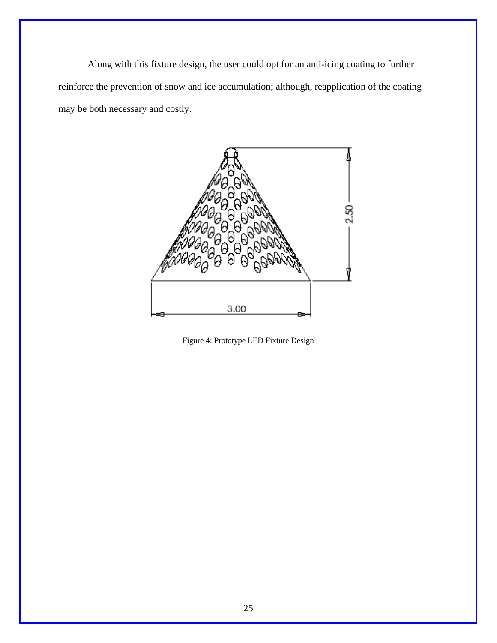Along with this fixture design, the user could opt for an anti-icing coating to further reinforce the prevention of snow and ice accumulation; although, reapplication of the coating may be both necessary and costly.



Figure 4: Prototype LED Fixture Design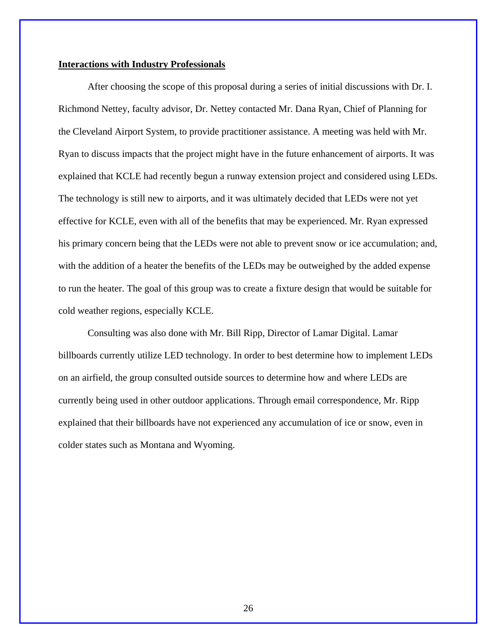#### **Interactions with Industry Professionals**

 After choosing the scope of this proposal during a series of initial discussions with Dr. I. Richmond Nettey, faculty advisor, Dr. Nettey contacted Mr. Dana Ryan, Chief of Planning for the Cleveland Airport System, to provide practitioner assistance. A meeting was held with Mr. Ryan to discuss impacts that the project might have in the future enhancement of airports. It was explained that KCLE had recently begun a runway extension project and considered using LEDs. The technology is still new to airports, and it was ultimately decided that LEDs were not yet effective for KCLE, even with all of the benefits that may be experienced. Mr. Ryan expressed his primary concern being that the LEDs were not able to prevent snow or ice accumulation; and, with the addition of a heater the benefits of the LEDs may be outweighed by the added expense to run the heater. The goal of this group was to create a fixture design that would be suitable for cold weather regions, especially KCLE.

 Consulting was also done with Mr. Bill Ripp, Director of Lamar Digital. Lamar billboards currently utilize LED technology. In order to best determine how to implement LEDs on an airfield, the group consulted outside sources to determine how and where LEDs are currently being used in other outdoor applications. Through email correspondence, Mr. Ripp explained that their billboards have not experienced any accumulation of ice or snow, even in colder states such as Montana and Wyoming.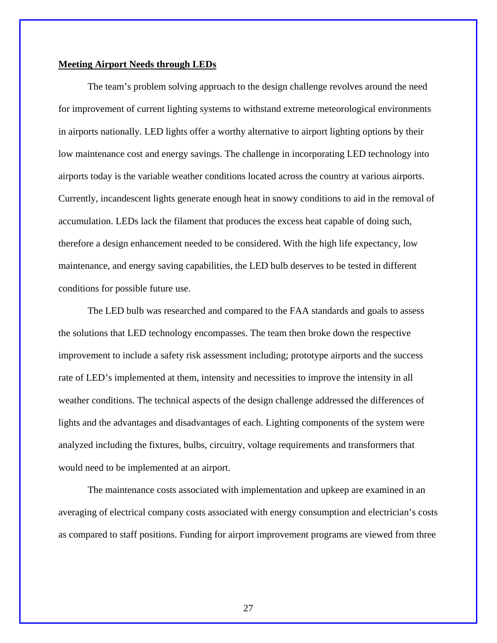#### **Meeting Airport Needs through LEDs**

The team's problem solving approach to the design challenge revolves around the need for improvement of current lighting systems to withstand extreme meteorological environments in airports nationally. LED lights offer a worthy alternative to airport lighting options by their low maintenance cost and energy savings. The challenge in incorporating LED technology into airports today is the variable weather conditions located across the country at various airports. Currently, incandescent lights generate enough heat in snowy conditions to aid in the removal of accumulation. LEDs lack the filament that produces the excess heat capable of doing such, therefore a design enhancement needed to be considered. With the high life expectancy, low maintenance, and energy saving capabilities, the LED bulb deserves to be tested in different conditions for possible future use.

 The LED bulb was researched and compared to the FAA standards and goals to assess the solutions that LED technology encompasses. The team then broke down the respective improvement to include a safety risk assessment including; prototype airports and the success rate of LED's implemented at them, intensity and necessities to improve the intensity in all weather conditions. The technical aspects of the design challenge addressed the differences of lights and the advantages and disadvantages of each. Lighting components of the system were analyzed including the fixtures, bulbs, circuitry, voltage requirements and transformers that would need to be implemented at an airport.

 The maintenance costs associated with implementation and upkeep are examined in an averaging of electrical company costs associated with energy consumption and electrician's costs as compared to staff positions. Funding for airport improvement programs are viewed from three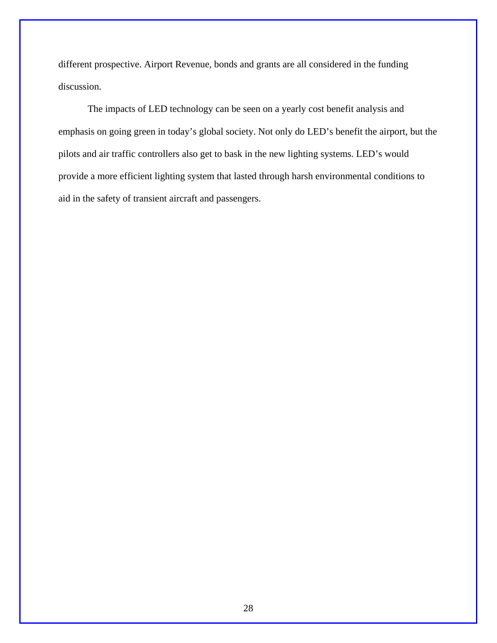different prospective. Airport Revenue, bonds and grants are all considered in the funding discussion.

The impacts of LED technology can be seen on a yearly cost benefit analysis and emphasis on going green in today's global society. Not only do LED's benefit the airport, but the pilots and air traffic controllers also get to bask in the new lighting systems. LED's would provide a more efficient lighting system that lasted through harsh environmental conditions to aid in the safety of transient aircraft and passengers.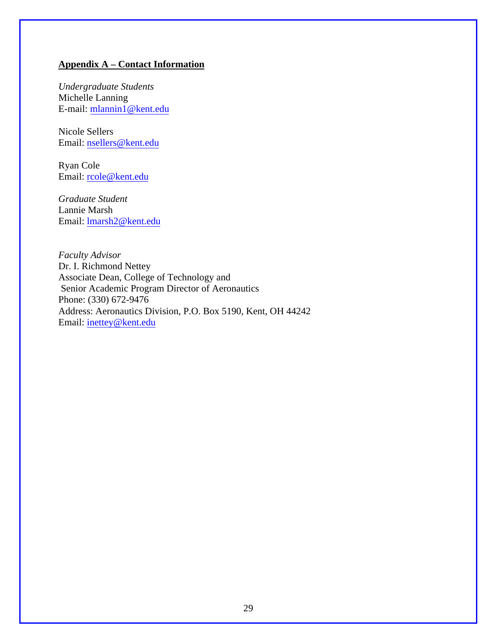### **Appendix A – Contact Information**

*Undergraduate Students*  Michelle Lanning E-mail: mlannin1@kent.edu

Nicole Sellers Email: nsellers@kent.edu

Ryan Cole Email: rcole@kent.edu

*Graduate Student*  Lannie Marsh Email: lmarsh2@kent.edu

*Faculty Advisor*  Dr. I. Richmond Nettey Associate Dean, College of Technology and Senior Academic Program Director of Aeronautics Phone: (330) 672-9476 Address: Aeronautics Division, P.O. Box 5190, Kent, OH 44242 Email: inettey@kent.edu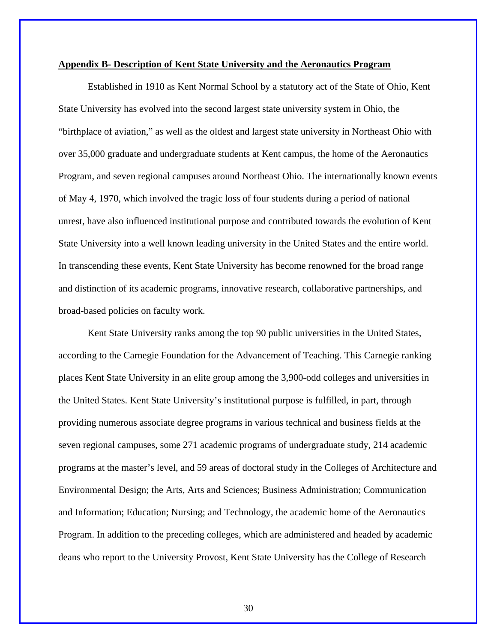#### **Appendix B- Description of Kent State University and the Aeronautics Program**

Established in 1910 as Kent Normal School by a statutory act of the State of Ohio, Kent State University has evolved into the second largest state university system in Ohio, the "birthplace of aviation," as well as the oldest and largest state university in Northeast Ohio with over 35,000 graduate and undergraduate students at Kent campus, the home of the Aeronautics Program, and seven regional campuses around Northeast Ohio. The internationally known events of May 4, 1970, which involved the tragic loss of four students during a period of national unrest, have also influenced institutional purpose and contributed towards the evolution of Kent State University into a well known leading university in the United States and the entire world. In transcending these events, Kent State University has become renowned for the broad range and distinction of its academic programs, innovative research, collaborative partnerships, and broad-based policies on faculty work.

Kent State University ranks among the top 90 public universities in the United States, according to the Carnegie Foundation for the Advancement of Teaching. This Carnegie ranking places Kent State University in an elite group among the 3,900-odd colleges and universities in the United States. Kent State University's institutional purpose is fulfilled, in part, through providing numerous associate degree programs in various technical and business fields at the seven regional campuses, some 271 academic programs of undergraduate study, 214 academic programs at the master's level, and 59 areas of doctoral study in the Colleges of Architecture and Environmental Design; the Arts, Arts and Sciences; Business Administration; Communication and Information; Education; Nursing; and Technology, the academic home of the Aeronautics Program. In addition to the preceding colleges, which are administered and headed by academic deans who report to the University Provost, Kent State University has the College of Research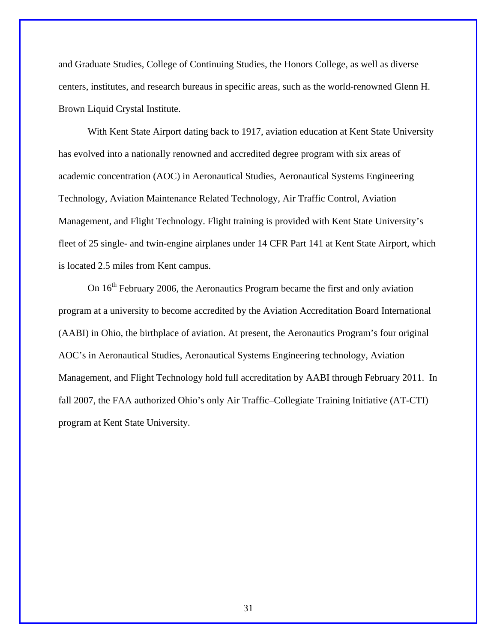and Graduate Studies, College of Continuing Studies, the Honors College, as well as diverse centers, institutes, and research bureaus in specific areas, such as the world-renowned Glenn H. Brown Liquid Crystal Institute.

With Kent State Airport dating back to 1917, aviation education at Kent State University has evolved into a nationally renowned and accredited degree program with six areas of academic concentration (AOC) in Aeronautical Studies, Aeronautical Systems Engineering Technology, Aviation Maintenance Related Technology, Air Traffic Control, Aviation Management, and Flight Technology. Flight training is provided with Kent State University's fleet of 25 single- and twin-engine airplanes under 14 CFR Part 141 at Kent State Airport, which is located 2.5 miles from Kent campus.

On  $16<sup>th</sup>$  February 2006, the Aeronautics Program became the first and only aviation program at a university to become accredited by the Aviation Accreditation Board International (AABI) in Ohio, the birthplace of aviation. At present, the Aeronautics Program's four original AOC's in Aeronautical Studies, Aeronautical Systems Engineering technology, Aviation Management, and Flight Technology hold full accreditation by AABI through February 2011. In fall 2007, the FAA authorized Ohio's only Air Traffic–Collegiate Training Initiative (AT-CTI) program at Kent State University.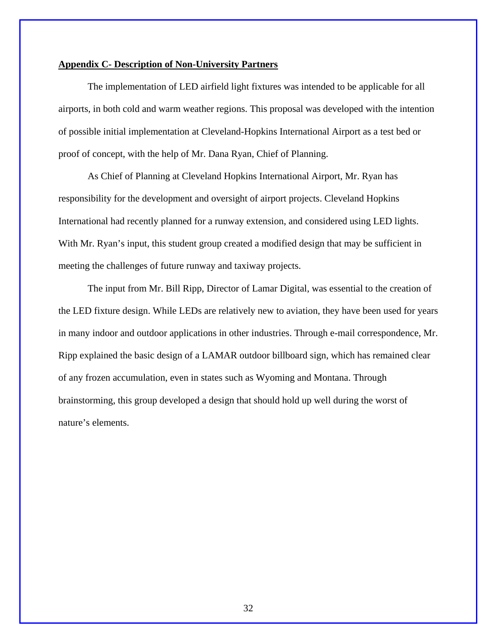#### **Appendix C- Description of Non-University Partners**

 The implementation of LED airfield light fixtures was intended to be applicable for all airports, in both cold and warm weather regions. This proposal was developed with the intention of possible initial implementation at Cleveland-Hopkins International Airport as a test bed or proof of concept, with the help of Mr. Dana Ryan, Chief of Planning.

As Chief of Planning at Cleveland Hopkins International Airport, Mr. Ryan has responsibility for the development and oversight of airport projects. Cleveland Hopkins International had recently planned for a runway extension, and considered using LED lights. With Mr. Ryan's input, this student group created a modified design that may be sufficient in meeting the challenges of future runway and taxiway projects.

The input from Mr. Bill Ripp, Director of Lamar Digital, was essential to the creation of the LED fixture design. While LEDs are relatively new to aviation, they have been used for years in many indoor and outdoor applications in other industries. Through e-mail correspondence, Mr. Ripp explained the basic design of a LAMAR outdoor billboard sign, which has remained clear of any frozen accumulation, even in states such as Wyoming and Montana. Through brainstorming, this group developed a design that should hold up well during the worst of nature's elements.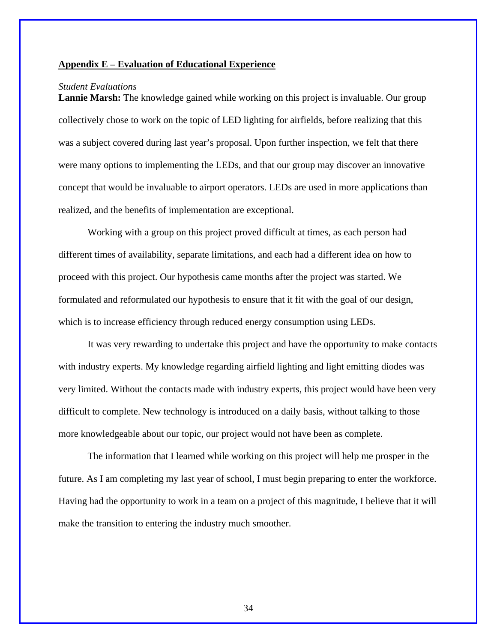#### **Appendix E – Evaluation of Educational Experience**

#### *Student Evaluations*

**Lannie Marsh:** The knowledge gained while working on this project is invaluable. Our group collectively chose to work on the topic of LED lighting for airfields, before realizing that this was a subject covered during last year's proposal. Upon further inspection, we felt that there were many options to implementing the LEDs, and that our group may discover an innovative concept that would be invaluable to airport operators. LEDs are used in more applications than realized, and the benefits of implementation are exceptional.

Working with a group on this project proved difficult at times, as each person had different times of availability, separate limitations, and each had a different idea on how to proceed with this project. Our hypothesis came months after the project was started. We formulated and reformulated our hypothesis to ensure that it fit with the goal of our design, which is to increase efficiency through reduced energy consumption using LEDs.

It was very rewarding to undertake this project and have the opportunity to make contacts with industry experts. My knowledge regarding airfield lighting and light emitting diodes was very limited. Without the contacts made with industry experts, this project would have been very difficult to complete. New technology is introduced on a daily basis, without talking to those more knowledgeable about our topic, our project would not have been as complete.

The information that I learned while working on this project will help me prosper in the future. As I am completing my last year of school, I must begin preparing to enter the workforce. Having had the opportunity to work in a team on a project of this magnitude, I believe that it will make the transition to entering the industry much smoother.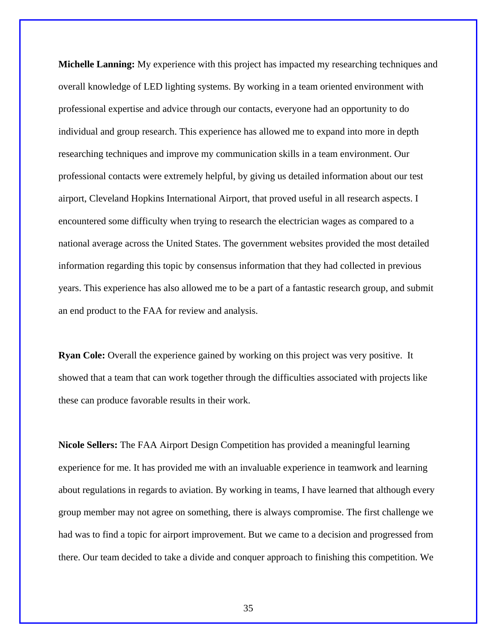**Michelle Lanning:** My experience with this project has impacted my researching techniques and overall knowledge of LED lighting systems. By working in a team oriented environment with professional expertise and advice through our contacts, everyone had an opportunity to do individual and group research. This experience has allowed me to expand into more in depth researching techniques and improve my communication skills in a team environment. Our professional contacts were extremely helpful, by giving us detailed information about our test airport, Cleveland Hopkins International Airport, that proved useful in all research aspects. I encountered some difficulty when trying to research the electrician wages as compared to a national average across the United States. The government websites provided the most detailed information regarding this topic by consensus information that they had collected in previous years. This experience has also allowed me to be a part of a fantastic research group, and submit an end product to the FAA for review and analysis.

**Ryan Cole:** Overall the experience gained by working on this project was very positive. It showed that a team that can work together through the difficulties associated with projects like these can produce favorable results in their work.

**Nicole Sellers:** The FAA Airport Design Competition has provided a meaningful learning experience for me. It has provided me with an invaluable experience in teamwork and learning about regulations in regards to aviation. By working in teams, I have learned that although every group member may not agree on something, there is always compromise. The first challenge we had was to find a topic for airport improvement. But we came to a decision and progressed from there. Our team decided to take a divide and conquer approach to finishing this competition. We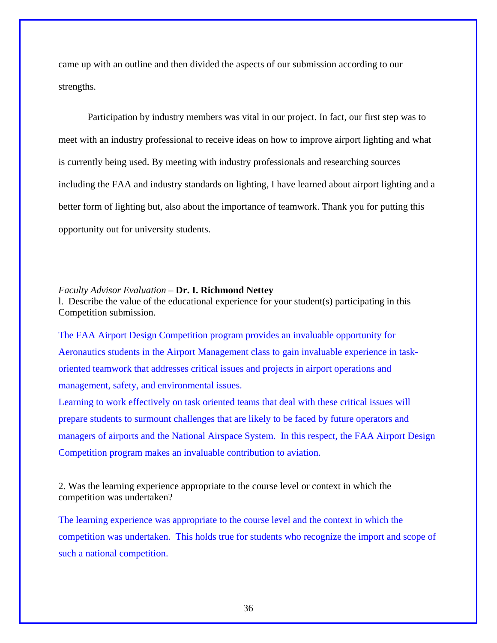came up with an outline and then divided the aspects of our submission according to our strengths.

 Participation by industry members was vital in our project. In fact, our first step was to meet with an industry professional to receive ideas on how to improve airport lighting and what is currently being used. By meeting with industry professionals and researching sources including the FAA and industry standards on lighting, I have learned about airport lighting and a better form of lighting but, also about the importance of teamwork. Thank you for putting this opportunity out for university students.

#### *Faculty Advisor Evaluation* – **Dr. I. Richmond Nettey**

l. Describe the value of the educational experience for your student(s) participating in this Competition submission.

The FAA Airport Design Competition program provides an invaluable opportunity for Aeronautics students in the Airport Management class to gain invaluable experience in taskoriented teamwork that addresses critical issues and projects in airport operations and management, safety, and environmental issues.

Learning to work effectively on task oriented teams that deal with these critical issues will prepare students to surmount challenges that are likely to be faced by future operators and managers of airports and the National Airspace System. In this respect, the FAA Airport Design Competition program makes an invaluable contribution to aviation.

2. Was the learning experience appropriate to the course level or context in which the competition was undertaken?

The learning experience was appropriate to the course level and the context in which the competition was undertaken. This holds true for students who recognize the import and scope of such a national competition.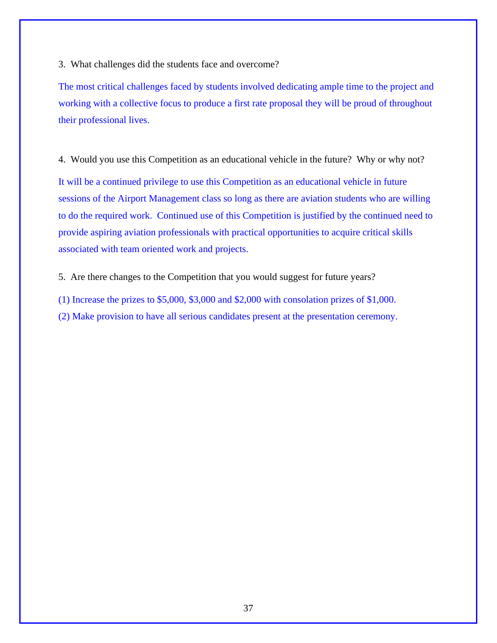3. What challenges did the students face and overcome?

The most critical challenges faced by students involved dedicating ample time to the project and working with a collective focus to produce a first rate proposal they will be proud of throughout their professional lives.

4. Would you use this Competition as an educational vehicle in the future? Why or why not?

It will be a continued privilege to use this Competition as an educational vehicle in future sessions of the Airport Management class so long as there are aviation students who are willing to do the required work. Continued use of this Competition is justified by the continued need to provide aspiring aviation professionals with practical opportunities to acquire critical skills associated with team oriented work and projects.

5. Are there changes to the Competition that you would suggest for future years?

(1) Increase the prizes to \$5,000, \$3,000 and \$2,000 with consolation prizes of \$1,000. (2) Make provision to have all serious candidates present at the presentation ceremony.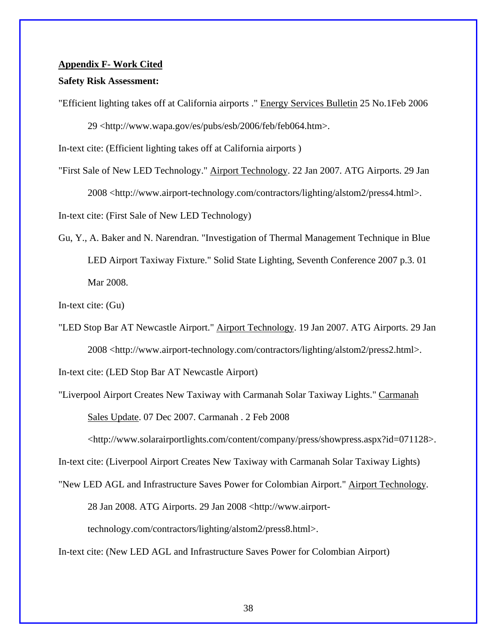#### **Appendix F- Work Cited**

#### **Safety Risk Assessment:**

"Efficient lighting takes off at California airports ." Energy Services Bulletin 25 No.1Feb 2006 29 <http://www.wapa.gov/es/pubs/esb/2006/feb/feb064.htm>.

In-text cite: (Efficient lighting takes off at California airports )

"First Sale of New LED Technology." Airport Technology. 22 Jan 2007. ATG Airports. 29 Jan 2008 <http://www.airport-technology.com/contractors/lighting/alstom2/press4.html>. In-text cite: (First Sale of New LED Technology)

Gu, Y., A. Baker and N. Narendran. "Investigation of Thermal Management Technique in Blue LED Airport Taxiway Fixture." Solid State Lighting, Seventh Conference 2007 p.3. 01 Mar 2008.

In-text cite: (Gu)

"LED Stop Bar AT Newcastle Airport." Airport Technology. 19 Jan 2007. ATG Airports. 29 Jan 2008 <http://www.airport-technology.com/contractors/lighting/alstom2/press2.html>.

In-text cite: (LED Stop Bar AT Newcastle Airport)

"Liverpool Airport Creates New Taxiway with Carmanah Solar Taxiway Lights." Carmanah Sales Update. 07 Dec 2007. Carmanah . 2 Feb 2008

<http://www.solarairportlights.com/content/company/press/showpress.aspx?id=071128>.

In-text cite: (Liverpool Airport Creates New Taxiway with Carmanah Solar Taxiway Lights)

"New LED AGL and Infrastructure Saves Power for Colombian Airport." Airport Technology.

28 Jan 2008. ATG Airports. 29 Jan 2008 <http://www.airport-

technology.com/contractors/lighting/alstom2/press8.html>.

In-text cite: (New LED AGL and Infrastructure Saves Power for Colombian Airport)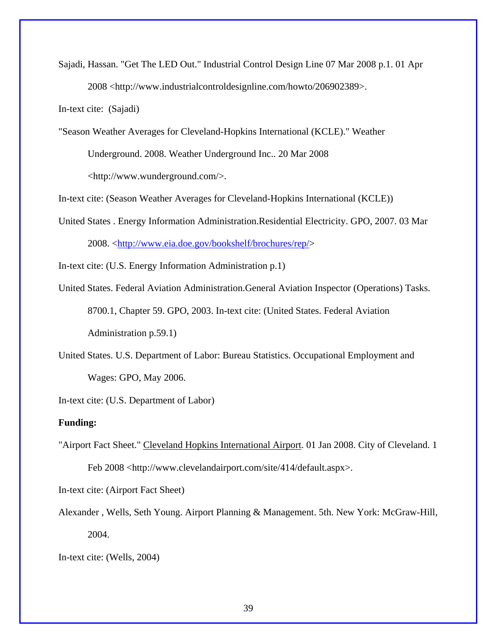Sajadi, Hassan. "Get The LED Out." Industrial Control Design Line 07 Mar 2008 p.1. 01 Apr 2008 <http://www.industrialcontroldesignline.com/howto/206902389>.

In-text cite: (Sajadi)

"Season Weather Averages for Cleveland-Hopkins International (KCLE)." Weather

Underground. 2008. Weather Underground Inc.. 20 Mar 2008

<http://www.wunderground.com/>.

In-text cite: (Season Weather Averages for Cleveland-Hopkins International (KCLE))

United States . Energy Information Administration.Residential Electricity. GPO, 2007. 03 Mar 2008. <http://www.eia.doe.gov/bookshelf/brochures/rep/>

In-text cite: (U.S. Energy Information Administration p.1)

- United States. Federal Aviation Administration.General Aviation Inspector (Operations) Tasks. 8700.1, Chapter 59. GPO, 2003. In-text cite: (United States. Federal Aviation Administration p.59.1)
- United States. U.S. Department of Labor: Bureau Statistics. Occupational Employment and Wages: GPO, May 2006.

In-text cite: (U.S. Department of Labor)

#### **Funding:**

"Airport Fact Sheet." Cleveland Hopkins International Airport. 01 Jan 2008. City of Cleveland. 1 Feb 2008 <http://www.clevelandairport.com/site/414/default.aspx>.

In-text cite: (Airport Fact Sheet)

Alexander , Wells, Seth Young. Airport Planning & Management. 5th. New York: McGraw-Hill, 2004.

In-text cite: (Wells, 2004)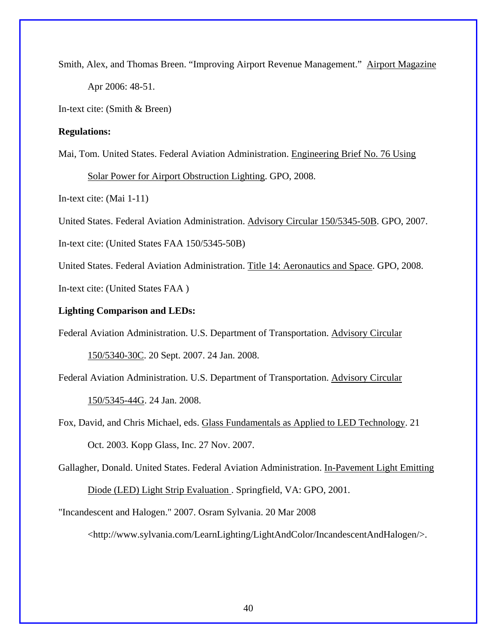Smith, Alex, and Thomas Breen. "Improving Airport Revenue Management." Airport Magazine Apr 2006: 48-51.

In-text cite: (Smith & Breen)

#### **Regulations:**

Mai, Tom. United States. Federal Aviation Administration. Engineering Brief No. 76 Using

Solar Power for Airport Obstruction Lighting. GPO, 2008.

In-text cite: (Mai 1-11)

United States. Federal Aviation Administration. Advisory Circular 150/5345-50B. GPO, 2007.

In-text cite: (United States FAA 150/5345-50B)

United States. Federal Aviation Administration. Title 14: Aeronautics and Space. GPO, 2008. In-text cite: (United States FAA )

### **Lighting Comparison and LEDs:**

Federal Aviation Administration. U.S. Department of Transportation. Advisory Circular

150/5340-30C. 20 Sept. 2007. 24 Jan. 2008.

Federal Aviation Administration. U.S. Department of Transportation. Advisory Circular 150/5345-44G. 24 Jan. 2008.

Fox, David, and Chris Michael, eds. Glass Fundamentals as Applied to LED Technology. 21 Oct. 2003. Kopp Glass, Inc. 27 Nov. 2007.

Gallagher, Donald. United States. Federal Aviation Administration. In-Pavement Light Emitting

Diode (LED) Light Strip Evaluation . Springfield, VA: GPO, 2001.

"Incandescent and Halogen." 2007. Osram Sylvania. 20 Mar 2008

<http://www.sylvania.com/LearnLighting/LightAndColor/IncandescentAndHalogen/>.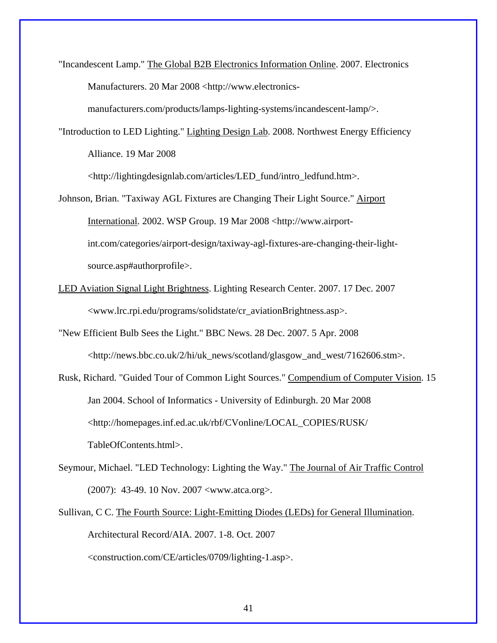"Incandescent Lamp." The Global B2B Electronics Information Online. 2007. Electronics Manufacturers. 20 Mar 2008 <http://www.electronics-

manufacturers.com/products/lamps-lighting-systems/incandescent-lamp/>.

"Introduction to LED Lighting." Lighting Design Lab. 2008. Northwest Energy Efficiency Alliance. 19 Mar 2008

<http://lightingdesignlab.com/articles/LED\_fund/intro\_ledfund.htm>.

- Johnson, Brian. "Taxiway AGL Fixtures are Changing Their Light Source." Airport International. 2002. WSP Group. 19 Mar 2008 <http://www.airportint.com/categories/airport-design/taxiway-agl-fixtures-are-changing-their-lightsource.asp#authorprofile>.
- LED Aviation Signal Light Brightness. Lighting Research Center. 2007. 17 Dec. 2007 <www.lrc.rpi.edu/programs/solidstate/cr\_aviationBrightness.asp>.

"New Efficient Bulb Sees the Light." BBC News. 28 Dec. 2007. 5 Apr. 2008 <http://news.bbc.co.uk/2/hi/uk\_news/scotland/glasgow\_and\_west/7162606.stm>.

- Rusk, Richard. "Guided Tour of Common Light Sources." Compendium of Computer Vision. 15 Jan 2004. School of Informatics - University of Edinburgh. 20 Mar 2008 <http://homepages.inf.ed.ac.uk/rbf/CVonline/LOCAL\_COPIES/RUSK/ TableOfContents.html>.
- Seymour, Michael. "LED Technology: Lighting the Way." The Journal of Air Traffic Control (2007): 43-49. 10 Nov. 2007 <www.atca.org>.
- Sullivan, C C. The Fourth Source: Light-Emitting Diodes (LEDs) for General Illumination. Architectural Record/AIA. 2007. 1-8. Oct. 2007

<construction.com/CE/articles/0709/lighting-1.asp>.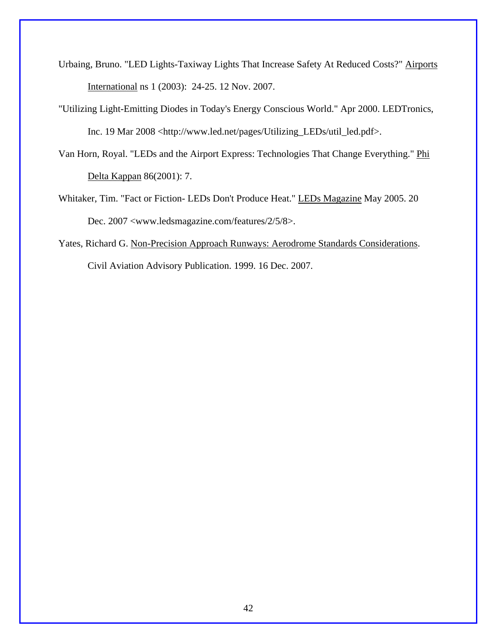- Urbaing, Bruno. "LED Lights-Taxiway Lights That Increase Safety At Reduced Costs?" Airports International ns 1 (2003): 24-25. 12 Nov. 2007.
- "Utilizing Light-Emitting Diodes in Today's Energy Conscious World." Apr 2000. LEDTronics, Inc. 19 Mar 2008 <http://www.led.net/pages/Utilizing\_LEDs/util\_led.pdf>.
- Van Horn, Royal. "LEDs and the Airport Express: Technologies That Change Everything." Phi Delta Kappan 86(2001): 7.
- Whitaker, Tim. "Fact or Fiction- LEDs Don't Produce Heat." LEDs Magazine May 2005. 20 Dec. 2007 <www.ledsmagazine.com/features/2/5/8>.
- Yates, Richard G. Non-Precision Approach Runways: Aerodrome Standards Considerations. Civil Aviation Advisory Publication. 1999. 16 Dec. 2007.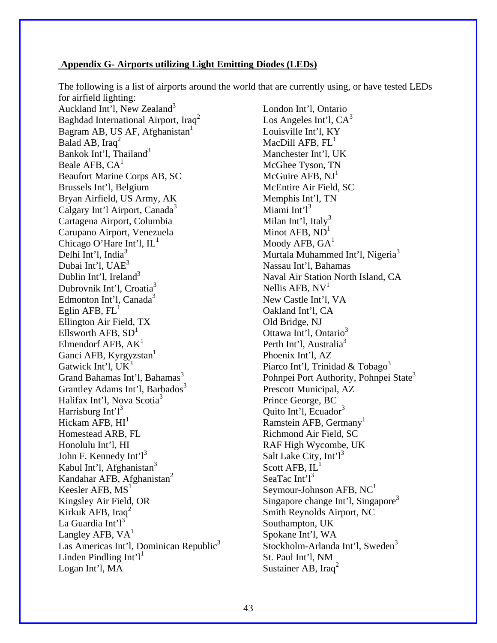#### **Appendix G- Airports utilizing Light Emitting Diodes (LEDs)**

The following is a list of airports around the world that are currently using, or have tested LEDs for airfield lighting:

Auckland Int'l, New Zealand<sup>3</sup> Baghdad International Airport, Iraq2 Bagram AB, US AF, Afghanistan<sup>1</sup> Balad AB, Iraq<sup>2</sup> Bankok Int'l, Thailand $3$ Beale AFB,  $CA<sup>1</sup>$ Beaufort Marine Corps AB, SC Brussels Int'l, Belgium Bryan Airfield, US Army, AK Calgary Int'l Airport, Canada<sup>3</sup> Cartagena Airport, Columbia Carupano Airport, Venezuela Chicago O'Hare Int'l, IL<sup>1</sup> Delhi Int'l, India $3$ Dubai Int'l, UAE<sup>3</sup> Dublin Int'l, Ireland $3$ Dubrovnik Int'l, Croatia<sup>3</sup> Edmonton Int'l, Canada<sup>3</sup> Eglin AFB,  $FL<sup>1</sup>$ Ellington Air Field, TX Ellsworth  $AFB$ ,  $SD<sup>1</sup>$ Elmendorf AFB,  $AK<sup>1</sup>$ Ganci AFB, Kyrgyzstan<sup>1</sup> Gatwick Int'l,  $UK<sup>3</sup>$ Grand Bahamas Int'l, Bahamas<sup>3</sup> Grantley Adams Int'l, Barbados<sup>3</sup> Halifax Int'l, Nova Scotia<sup>3</sup> Harrisburg Int' $l^3$ Hickam AFB,  $HI<sup>1</sup>$ Homestead ARB, FL Honolulu Int'l, HI John F. Kennedy Int' $l^3$ Kabul Int'l, Afghanistan<sup>3</sup> Kandahar AFB, Afghanistan<sup>2</sup> Keesler AFB,  $MS<sup>1</sup>$ Kingsley Air Field, OR Kirkuk AFB, Iraq $^2$ La Guardia Int' $l<sup>3</sup>$ Langley AFB,  $VA<sup>1</sup>$ Las Americas Int'l, Dominican Republic<sup>3</sup> Linden Pindling Int' $l^1$ Logan Int'l, MA

London Int'l, Ontario Los Angeles Int'l,  $CA^3$ Louisville Int'l, KY MacDill AFB,  $FL<sup>1</sup>$ Manchester Int'l, UK McGhee Tyson, TN McGuire AFB,  $NI<sup>1</sup>$ McEntire Air Field, SC Memphis Int'l, TN Miami Int' $l^3$ Milan Int'l, Italy<sup>3</sup> Minot AFB,  $ND<sup>1</sup>$ Moody AFB,  $GA<sup>1</sup>$ Murtala Muhammed Int'l, Nigeria<sup>3</sup> Nassau Int'l, Bahamas Naval Air Station North Island, CA Nellis AFB,  $NV<sup>1</sup>$ New Castle Int'l, VA Oakland Int'l, CA Old Bridge, NJ Ottawa Int'l, Ontario<sup>3</sup> Perth Int'l, Australia<sup>3</sup> Phoenix Int'l, AZ Piarco Int'l, Trinidad & Tobago<sup>3</sup> Pohnpei Port Authority, Pohnpei State<sup>3</sup> Prescott Municipal, AZ Prince George, BC Quito Int'l, Ecuador<sup>3</sup> Ramstein AFB, Germany<sup>1</sup> Richmond Air Field, SC RAF High Wycombe, UK Salt Lake City,  $Int^3$ Scott AFB,  $IL<sup>1</sup>$ SeaTac Int' $l^3$ Seymour-Johnson AFB,  $NC<sup>1</sup>$ Singapore change Int'l, Singapore<sup>3</sup> Smith Reynolds Airport, NC Southampton, UK Spokane Int'l, WA Stockholm-Arlanda Int'l, Sweden<sup>3</sup> St. Paul Int'l, NM Sustainer AB, Iraq<sup>2</sup>